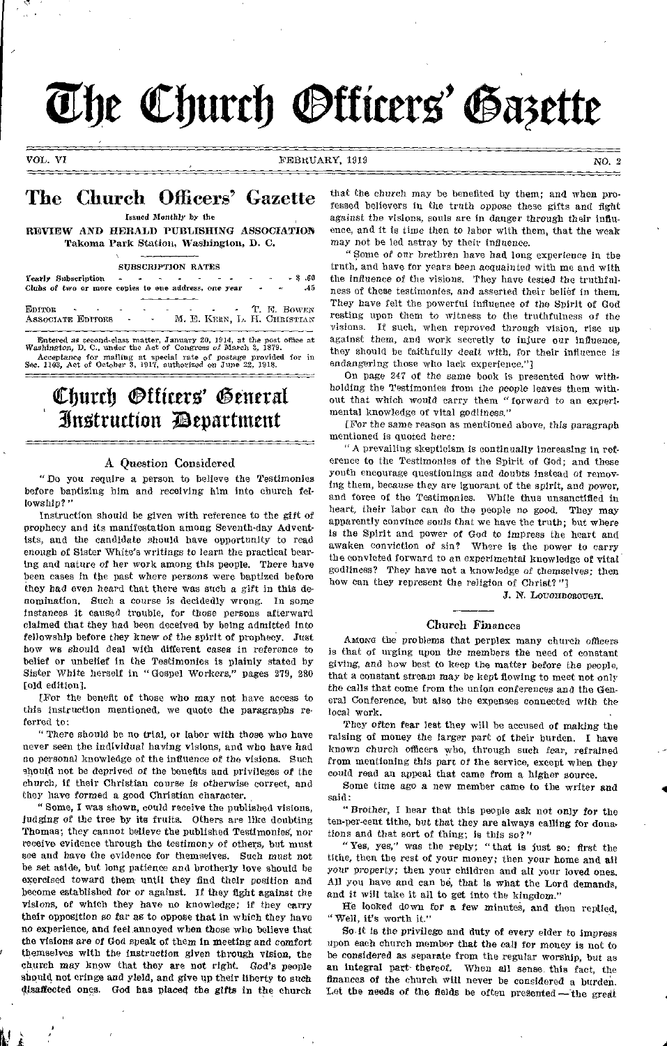# The Church *Otticers'* Gazette

VOL. VI FEBRUARY, 1919 NO. 2

# The Church Officers' Gazette

Issued Monthly by the

REVIEW *AND* HERALD PUBLISHING ASSOCIATION Takoma Park Station, Washington, D. C.

SUBSCRIPTION RATES

| Clubs of two or more copies to one address, one year |                       |  |  |  | $-3.60$<br>-45<br>$\sim$ $\sim$ $\sim$ |
|------------------------------------------------------|-----------------------|--|--|--|----------------------------------------|
| EDITOR T. F. BOWEN<br>ASSOCIATE EDITORS              | and with the state of |  |  |  | M. E. KERN, L. H. CHRISTIAN            |

Entered *as* second-class matter, January 20, 1914, at the post office at Washington, D. C., under the Act of Congress *of* March 8, 1879. Acceptance for mailing at special rate of postage provided for in Sec. 1103, Aet of October 3, 1917, authorized on June 22, 1918.

# Church Officers' General Instruction **D**evartment

# A Question Considered

"Do you require a person to believe the Testimonies before baptizing him and *receiving* him into church fellowship?"

Instruction should be given with reference to the gift of prophecy and its manifestation among Seventh-day Adventists, and the candidate should have opportunity to read enough of Sister White's writings to learn the practical bearing and nature of her work among this people. There have been cases in the past where persons were baptized before they *had* even heard that there was such a gift in this denomination. Such a course is decidedly wrong. In some instances It caused trouble, for those persons afterward claimed that they had been deceived by being admitted Into fellowship before they knew *of* the spirit of prophecy. Just how we should deal with different cases in reference to belief or unbelief In the Testimonies is plainly stated by Sister White herself in "Gospel Workers," pages 279, 280 [old edition].

[For the benefit of those who may not have access to this instruction mentioned, we quote the paragraphs referred to:

" There should be no trial, or labor with those who have never seen the individual having visions, and who have had no personal knowledge of the Influence of the visions. Such should not be deprived of the benefits and privileges of the church, if their Christian course *is* otherwise correct, and they have formed a good Christian character.

" Some, I was shown, could receive the published visions, judging of the tree by its fruits. Others are like doubting Thomas; they cannot believe the published Testimonies, nor receive evidence through the testimony of others, but must see and have the evidence for themselves. Such must not be set aside, but long patience and brotherly love should be exercised toward them until they find their position and become established for or against. If they fight against the visions, of which they have no knowledge; if they carry their opposition so tar as to oppose that in which they have no experience, and feel, annoyed when those who believe that the visions are of God speak of them in meeting and comfort themselves with the instruction given through vision, the church may know that they are not *right.* God's people should not cringe and yield, and give up their liberty to such disaffected ones. God has placed the *gifts* in the church

that the church may be benefited by them; and when professed believers in the truth oppose these gifts and fight against the visions, souls are in danger through their influence, and it is time then to labor with them, that the weak may not he led astray by their influence.

"Some of our brethren have had long experience in the truth, and have for years been acquainted with me and with the influence of the visions. They have tested the truthfulness of these testimonies, and asserted their belief in them. They have felt the powerful influence of the Spirit of God resting upon them to witness to the truthfulness of the visions. If such, when reproved through vision, rise up against them, and work secretly to injure our influence. they should be faithfully dealt with, for their influence is endangering those who lack experience."]

On page 247 of the same book is presented how withholding the Testimonies from the people leaves them without that which would carry them "forward to an experimental knowledge of vital godliness."

[For the same reason as mentioned above, this paragraph mentioned is quoted here:

"A prevailing skepticism is continually increasing in reference to the Testimonies of the Spirit of God; and these youth encourage questionings and doubts instead of removing them, because they are ignorant of the spirit, and power, and force of the Testimonies. While thus unsanctifled in heart, their labor can do the people no good. They may apparently convince souls that we have the truth; but where is the Spirit and power of God to *impress* the heart and awaken conviction of sin? Where is the power to carry the convicted forward to an experimental knowledge of vital godliness? They have not a knowledge of themselves; then how can they represent the religion of Christ? "]

J. N. LOUGHBOROUGH.

# Church Finances

Amone the problems that perplex many church officers is that of urging upon the members the need of constant giving, and how best to keep the matter before the people, that a constant stream may be kept flowing to meet not only the calls that come from the union conferences and the General Conference, but also the expenses connected with the local work.

They often fear lest they will be accused of making the raising of money the larger part of their burden. I have known church officers who, through such fear, refrained from mentioning this part of the service, except when they could read an appeal that came from a higher source.

Some time ago a new member came to the writer *and*  said:

" Brother, I hear that this people ask not only for the ten-per-cent tithe, but that they are always calling for donations and that sort of thing; is this so?"

"Yes, yes," was the reply; "that is just so: first the tithe, then the rest of your money; then your home and all your property; then your children and all your loved ones. All you have and can be, that is what the Lord demands, and it will take it all to get into the kingdom."

He looked down for a few minutes, and then replied, " Well, it's worth it

So it is the privilege and duty of every elder to impress upon each church member that the call for money is not to be considered as separate from the regular worship, but as an integral part thereof. When all sense, this fact, the finances of the church will never be considered a burden. Let the needs of the fields be often presented—the great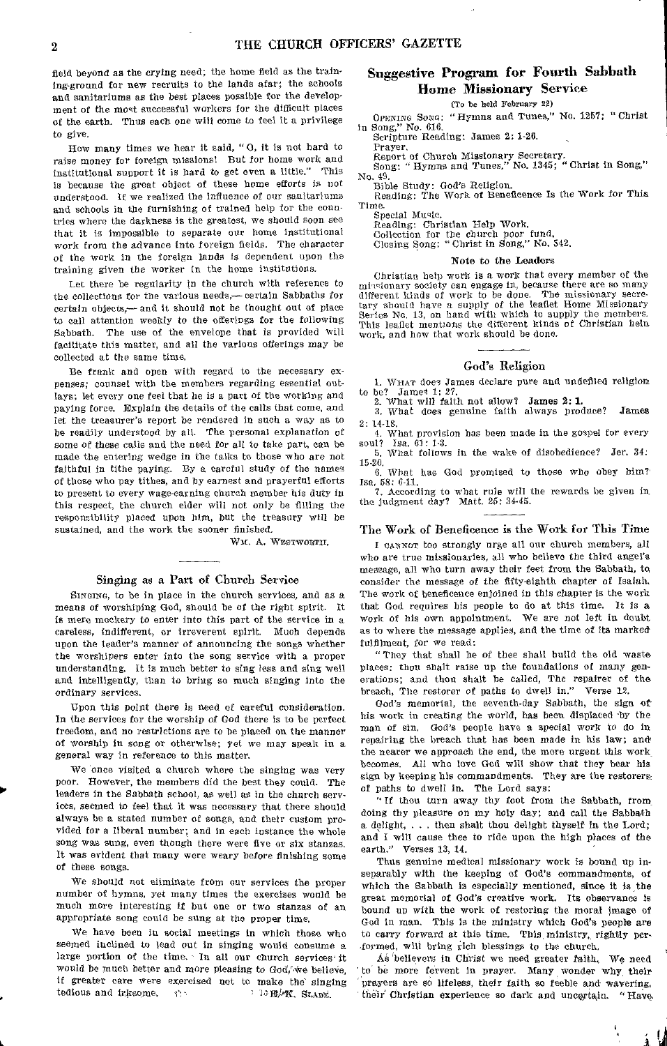field beyond as the crying need; the home held as the training-ground for new recruits to the lands afar; the schools and sanitariums as the best places possible for the development of the most successful workers for the difficult places of the earth. Thus each one will come to feel it a privilege to give.

How many times we hear it said, "0, it is not hard to raise money for foreign missions! But for home work and institutional support it is hard to get even a little." This is because the great object of these home efforts is not understood. If we realized the influence of our sanitariums and schools in the furnishing of trained help for the countries where the darkness is the greatest, we should soon see that it is impossible to separate our home institutional work from the advance into foreign fields. The character of the work in the foreign lands is dependent upon the training given the worker in the home institutions.

Let there be regularity in the church with reference to the collections for the various needs,— certain Sabbaths for certain objects,— and it should not be thought out of place to call attention weekly to the offerings for the following Sabbath. The use of the envelope that is provided will facilitate this matter, and all the various offerings may be collected at the same time.

Be frank and open with regard to the necessary expenses; counsel with the members regarding essential outlays; let every one feel that he is a part of the working and paying force. Explain the details of the calls that come, and let the treasurer's report be rendered in such a way as to be readily understood by all. The personal explanation of some of these calls and the need for all to take part, can be made the entering wedge in the talks to those who are not faithful in tithe paying. By a careful study of the names of those who pay tithes, and by earnest and prayerful efforts to present to every wage-earning church member his duty in this respect, the church elder will not only be filling the responsibility placed upon him, but the treasury will be sustained, and the work the sooner finished,

WM. A. WESTWORTH.

# Singing as a Part of Church Service

SINGING, to be in place in the church services, and as a means of worshiping God, should be of the right spirit. It is mere mockery to enter into this part of the service in a careless, indifferent, or irreverent spirit. Much depends upon the leader's manner of announcing the songs whether the worshipers enter into the song service with a proper understanding. It is much better to sing less and sing well and intelligently, than to bring so much singing into the ordinary services.

Upon this point there is need of careful consideration. In the services for the worship *of* God there is to be perfect freedom, and no restrictions are to he placed on the manner of worship in song or otherwise; yet we may speak in a general way in reference to this matter.

We once visited a church where the singing was very poor. However, the members did the best they could. The leaders in the Sabbath school, as well as in the church services, seemed to feel that it was necessary that there should always be a stated number of songs, and their custom provided for a liberal number; and in each instance the whole song was sung, even though there were five or six stanzas. It was evident that many were weary before finishing some of these songs.

We should not eliminate from our services the proper number of hymns, yet many times the exercises would be much more interesting if but one or two stanzas of an appropriate song could be sung at the proper time.

We have been in social meetings In which those who seemed inclined to lead out in singing would consume a large portion of the time. In all our church services it would be much better and more pleasing to God, we believe, if greater care were exercised not to make the singing tedious and irksome.

# Suggestive Program for Fourth Sabbath Home Missionary Service

(To be held February 22) OPENING Soso: "Hymns and Tunes," No. 1257; "Christ in Song," No. 616.

Scripture Reading: James 2: 1-26.<br>Prayer.

Report of of Church Missionary Secretary. Song: " Hymns and Tunes," No. 1345; " Christ in Song,"

No. 49. Bible Study: God's Religion.

Reading: The Work of Beneficence Is the Work for This Time.

Special Music.

Reading: Christian Help Work. Collection for the church poor fund. Closing Song: "Christ in Song," No. 542.

#### Note to the Leaders

Christian help work is a work that every member of the miosionary society can engage in, because there are so many different kinds of work to be done. The missionary secretary should have a supply of the leaflet Home Missionary Series No. 13, on hand with which to supply the members. This leaflet mentions the different kinds of Christian bein work, and how that work should be done.

# God's Religion

WrIAT does James declare pure and undefiled religion to be? James 1: 27. to be? Jame<sup>4</sup> 1: 27.<br>2. What will faith not allow? James 2: 1.

3. What does genuine faith always produce? James

2: 14-1S. 4. What provision has been made in the gospel for every soul? Isa. 61: 1-3. 5. What follows in the wake of disobedience? Jer. 34:

15-20. 6. What has God promised to those who obey him?

Isa, 58: 6-11.

7. According to what rule will the rewards be given in the judgment day? Matt. 25: 34-45.

# The Work of Beneficence is the Work for This Time

I CANNOT too strongly urge all our church members, all who are true missionaries, all who believe the third angel's message, all who turn away their feet from the Sabbath, to consider the message of the fifty-eighth chapter of Isaiah. The work of beneficence enjoined in this chapter is the work that God requires his people to do at this time. It is a work of his own appointment. We are not left in doubt as to where the message applies, and the time of its marked fulfilment, for we read:

"They that shall be of thee shall build the old waste places: thou shalt raise up the foundations of many generations; and thou shalt be called, The repairer of the breach, The restorer of paths to dwell in." Verse 12.

God's memorial, the seventh-day Sabbath, the sign ofhis work in creating the world, has been displaced by the man of sin, God's people have a special work to do in repairing the breach that has been made in his law; and' the nearer we approach the end, the more urgent this work becomes. All who love God will show that they bear his sign by keeping his commandments. They are the restorers, of paths to dwell in. The Lord says:

" If thou turn away thy foot from the Sabbath, from doing thy pleasure on my holy day; and call the Sabbath a delight, . . then shalt thou delight thyself in the Lord; and I will cause thee to ride upon the high places of the earth." Verses 13, 14.

Thus genuine medical missionary work is bound up inseparably with the keeping of God's commandments, of which the Sabbath is especially mentioned, since it is the great memorial of God's creative work, Its observance is bound up with the work of restoring the moral image of God in man. This is the ministry which God's people are to carry forward at this time. This ministry, rightly performed, will bring rich blessings to the church.

As believers in Christ we need greater faith. We need to be more fervent in prayer. Many wonder why their prayers are so lifeless, their faith so feeble and wavering, their Christian experience so dark and uncertain. "Have.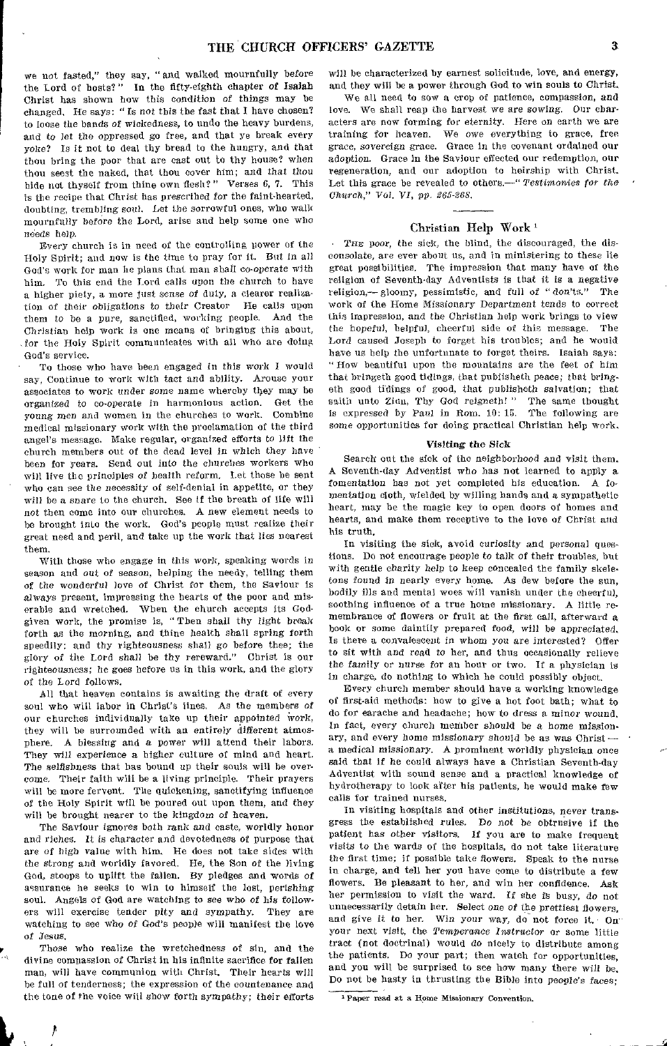we not fasted," they say, "and walked mournfully before the Lord of hosts?" In the fifty-eighth chapter *of* Isaiah Christ has shown how this condition *of* things may be changed, He says: " Is not this the fast that I have chosen? to loose the bands *of* wickedness, to undo the heavy burdens, and to let the oppressed go free, and that ye break every yoke? Is it not to deal thy bread to the hungry, and that thou bring the poor that are cast out to thy house? when thou seest the naked, that thou cover him; and that thou hide not thyself from thine own flesh?" Verses 6, 7. This is the recipe that Christ has prescribed *for* the faint-hearted, doubting, trembling soul. Let the sorrowful ones, who walk mournfully before the Lord, arise and help some one who needs help.

Every church is in need of the controlling power of the Holy Spirit; and now Is the time to pray for it. But in all God's work for man he plans that man shall co-operate with him. To this end the Lord calls upon the church to have a higher piety, a more just sense *of* duty, a clearer realization of their obligations to their Creator He calls upon them to be a pure, sanctified, working people. And the Christian help work is one means of bringing this about, for the Holy Spirit communicates with all who are doing God's service.

To those who have been engaged in this work I would say, Continue to work with tact and ability. Arouse your associates to work under some name whereby they may be organized to co-operate in harmonious action. Get the *young* men and women in the churches to work. Combine medical missionary work with the proclamation of the third angel's message. Make regular, organized efforts to lift the church members out of the dead level in which they have been for years. Send out into the churches workers who will live the principles *of* health reform. Let those be sent who can see the necessity of self-denial in appetite, or they will be a snare to the church. See if the breath of life will not then come into our churches. A new element needs to be brought into the work. God's people must realize their great need and peril, and take up the work that lies nearest them.

With those who engage in this work, speaking words in season and out of season, helping the needy, telling them of the wonderful love of Christ for them, the Saviour is always present, impressing the hearts of the poor and miserable and wretched. When the church accepts its Godgiven work, the promise is, " Then shall thy light break forth as the morning, and thine health shall spring forth speedily: and thy righteousness shall go before thee; the glory of the Lord shall be thy rereward." Christ is our righteousness; he goes before us in this work, and the glory *of* the Lord follows.

All that heaven contains is awaiting the draft of every soul who will labor in Christ's lines. As the members *of*  our churches individually take up their appointed work, they will be surrounded with an entirely different atmosphere. A blessing and *a power* will attend their labors. They will experience a higher culture of mind and heart. The selfishness that has bound up their souls will be overcome. Their faith will be a living principle. Their prayers will be more fervent. The quickening, sanctifying influence of the Holy Spirit will be poured out upon them, and they will be brought nearer to the kingdom *of* heaven.

The Saviour ignores both rank and caste, worldly honor and riches. It is character and devotedness of purpose that are *of* high value with him, He does not take sides with the strong and worldly favored. He, the Son of the living God, stoops to uplift the fallen. By pledges and words of assurance he seeks to win to himself the lost, perishing soul. Angels of God are watching to see who of his followers will exercise tender pity and sympathy. They are watching to see who *of* God's people will manifest the love of Jesus,

Those who realize the wretchedness of sin, and the divine compassion of Christ in his infinite sacrifice for fallen man, will have communion with Christ. Their hearts will be full of tenderness; the expression of the countenance and the tone of the voice will show forth sympathy; their efforts

 $\boldsymbol{\mu}$ 

will be characterized by earnest solicitude, love, and energy, and they will be a power through God to win souls to Christ,

We all need to sow a crop of patience, compassion, and love. We shall reap the harvest we are *sowing.* Our characters are now forming for eternity. Here on earth we are training for heaven. We owe everything to grace, free grace, sovereign grace. Grace in the covenant ordained our adoption. Grace in the Saviour effected our redemption, our regeneration, and our adoption to heirship with Christ. Let this grace be revealed to others.—" *Testimonies for the Church," Vol. VI, pp. 265-268.* 

# Christian Help Work

THE poor, the sick, the blind, the discouraged, the disconsolate, are ever about us, and in ministering to these lie great possibilities. The impression that many have of the religion of Seventh-day Adventists is that it is a negative religion,— gloomy, pessimistic, and full of " don'ts." The work of the Home Missionary Department tends to correct this impression, and the Christian help work brings to view the hopeful, helpful, cheerful side of this message. The Lord caused Joseph to forget his troubles; and he would have us help the unfortunate to forget theirs. Isaiah says: " How beautiful upon the mountains are the feet of him that bringeth good tidings, that publisheth peace; that *bring*eth good tidings of good, that publisheth salvation; that saith unto Zion, Thy God reigneth! " The same thought is expressed by Paul in Rom. 10: 15. The following are some opportunities for doing practical Christian help work.

# Visiting the Sick

Search' out the sick of the neighborhood and visit them, A Seventh-day Adventist who has not learned to apply a fomentation has not yet completed his education. A fomentation cloth, wielded by willing hands and a sympathetic heart, may be the magic key to open doors of homes and hearts, and make them receptive to the love of Christ and his truth.

In visiting the sick, avoid curiosity and personal questions. Do not encourage people to talk *of* their troubles, but with gentle charity help to keep concealed the family skeletons found in nearly every home. As dew before the sun, bodily ills and mental woes will vanish under the cheerful, soothing influence of a true home missionary. A little remembrance of flowers or fruit at the first call, afterward a book or some daintily prepared food, will be appreciated, Is there a convalescent in whom you are interested? Offer to sit with and read to her, and thus occasionally relieve the *family* or nurse for an hour or two. If a physician is in charge, do nothing to which he could possibly object.

Every church member should have a working knowledge of first-aid methods: how to give a hot foot bath; what to do for earache and headache; how to dress a minor wound, In fact, every church member should be a home missionary, and every home *missionary* should he as was Christ a medical *missionary.* A prominent worldly physician once said that if he could always have a Christian Seventh-day Adventist with sound sense and a practical knowledge of hydrotherapy to look after his patients, he would make few calls for trained nurses.

In visiting hospitals and other institutions, *never* transgress the established rules. Do *not* be obtrusive if the patient has other *visitors.* If you are to make frequent visits to the wards of the hospitals, do not take literature the first time; if possible take flowers. Speak to the nurse in charge, and tell her you have come to distribute a few flowers. Be pleasant to her, and win her confidence. Ask her permission to visit the ward. If she is busy, do not unnecessarily detain her. Select one of the prettiest flowers, and give it to her. Win your way, do not force it. On your next visit, the Temperance *Instructor* or some little tract (not doctrinal) would do nicely to distribute among the patients. Do your part; then watch for opportunities, and you will be surprised to see how many there will be. Do not be hasty in thrusting the Bible into people's faces;

1Paper read at a Home Missionary Convention.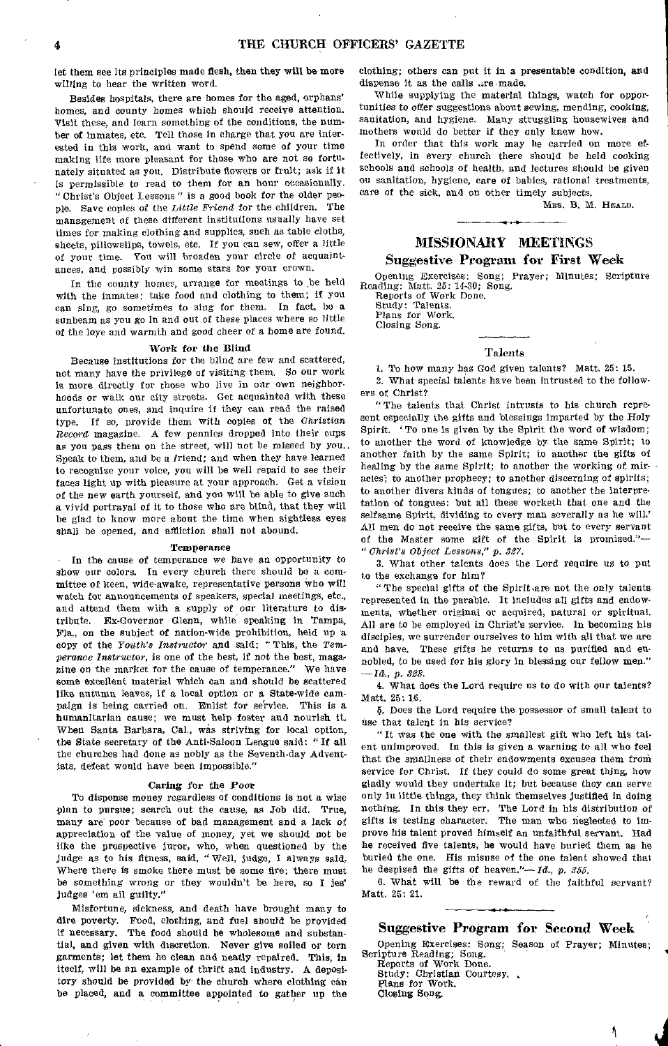let them see its principles made flesh, then they will be more willing to hear the written word.

Besides hospitals, there are homes for the aged, orphans' homes, and county homes which should receive attention. Visit these, and learn something of the conditions, the number of inmates, etc. Tell those in charge that you are interested in this work, and want to spend some of your time making life more pleasant for those who are not so fortunately situated as you, Distribute flowers or fruit; ask if It is permissible to read to them for an hour occasionally. "Christ's Object Lessons" is a good book for the older people. Save copies of the *Little Friend* for the children, The management of these different institutions usually have set times for making clothing and supplies, such as table cloths, sheets, pillowslips, towels, etc. If you can sew, offer a little of your time. You will broaden your circle of acquaintances, and possibly win some stars for your crown.

In the county homes, arrange for meetings to be held with the inmates; take food and clothing to them; if you can sing, go sometimes to sing for them. In fact, he a sunbeam as you go in and out of these places where so little of the loye and warmth and good cheer of a home are found.

# Work for the Blind

Because institutions for the blind are few and scattered, not many have the privilege of visiting them. So our work is more directly for those who live in our own neighborhoods or walk our city streets. Get acquainted with these unfortunate ones, and inquire if they can read the raised type. If so, provide them with copies of the Christian *Record* magazine. A few pennies dropped into their cups as you pass them on the street, will not be missed by you., Speak to them, and be a friend; and when they have learned to recognize your voice, you will be well repaid to see their faces light up with pleasure at your approach. Get a vision of the new earth yourself, and you will be able to give such a vivid portrayal of it to those who are blind, that they will be glad to know more about the time when sightless eyes shall be opened, and affliction shall not abound.

#### Temperance

In the cause of temperance we have an opportunity to Show our colors. In every church there should be a committee of keen, wide-awake, representative persons Who will watch for announcements of speakers, special meetings, etc., and attend them with a supply of our literature to distribute. Ex-Governor Glenn, while speaking in Tampa, Fla., on the subject of nation-wide prohibition, held up a copy of the *Youth's Instructor* and said: " This, the *Temperance Instructor,* is one of the best, if not the best, magazine on the market for the cause of temperance." We have some excellent material which can and should be scattered like autumn leaves, if a local option or a State-wide campaign is being carried on, Enlist for service. This is a humanitarian cause; we must help foster and nourish it. When Santa Barbara, Cal., was striving for local option, the State secretary of the Anti-Saloon League said: "If all the churches had done as nobly as the Seventh-day Adventists, defeat would have been impossible."

## Caring for the Poor

To dispense money regardless of conditions is not a wise plan to pursue; search out the cause, as Job did. True, many are poor because of bad management and a lack of appreciation of the value of money, yet we should not be like the prospective juror, who, when questioned by the judge as to his fitness, said, "Well, judge, I always said, Where there is smoke there must be some fire; there must be something wrong or they wouldn't be here, so I jes' judges 'em ail guilty."

Misfortune, sickness, and death have brought many to dire poverty. Food, clothing, and fuel should be provided if necessary. The food should be wholesome and substantial, and given with discretion. Never give soiled or torn garments; let them be clean and neatly repaired. This, in iteelf, will be an example of thrift and industry. A depository should be provided by the church where clothing can be placed, and a committee appointed to gather up the clothing; others can put it in a presentable condition, and dispense it as the calls are made.

While supplying the material things, watch for opportunities to offer suggestions about sewing, mending, cooking, sanitation, and hygiene. Many struggling housewives and mothers would do better if they only knew how.

In order that this work may be carried on more effectively, in every church there should be held cooking schools and schools of health, and lectures should be given on sanitation, hygiene, care of babies, rational treatments, care of the sick, and on other timely subjects.

MBS. B. M. HEALD.

# MISSIONARY MEETINGS

# Suggestive Program for First Week

Opening Exercises: Song; Prayer; Minutes; Scripture Reading: Matt. 25: 14-30; Song. Reports of Work Done. Study: Talents. Plans for Work.

Closing Song.

# Talents

1. To how many has God given talents? Matt, 25: 15. 2. What special talents have been Intrusted to the followers of Christ?

"The talents that Christ intrusts to his church represent especially the gifts and blessings imparted by the Holy Spirit. To one is given by the Spirit the word of wisdom; to another the word of knowledge by the same Spirit; to another faith by the same Spirit; to another the gifts of healing by the same Spirit; to another the working of miracles; to another prophecy; to another discerning of spirits; to another divers kinds of tongues; to another the interpretation of tongues: but all these worketh that one and the selfsame Spirit, dividing to every man severally as he will.' All men do not receive the same gifts, but to every servant of the Master some gift of the Spirit is promised."— "*Christ's Object Lessons," p. 837.* 

3. What other talents does the Lord require us to put to the exchange for him?

" The special gifts of the Spirit are not the only talents represented in the parable. It Includes all gifts and endowments, whether original or acquired, natural or spiritual. All are to be employed in Christ's service. In becoming his disciples, we surrender ourselves to him with all that we are and have. These gifts he returns to us purified and ennobled, to be used for his glory in blessing our fellow men." *—Id.,* p. *328.* 

4. What does the Lord require us to do with our talents? Matt. 25: 16.

5. Does the Lord require the possessor of small talent to use that talent in his service?

" It was the one with the smallest gift who left his talent unimproved. In this is given a warning to all who feel that the smallness of their endowments excuses them from service for Christ. If they could do some great thing, how gladly would they undertake it; but because they can serve only In little things, they think themselves justified in doing nothing. In this they err. The Lord in his distribution of gifts Is testing character. The man who neglected to improve his talent proved himself an unfaithful servant. Had he received five talents, he would have buried them as he buried the one. His misuse of the one talent showed that he despised the gifts of heaven."—Id, p. *355.* 

6. What will be the reward of the faithful servant? Matt. 25: 21.

# Suggestive Program for Second Week

Opening Exercises: Song; Season of Prayer; Minutes; Scripture Reading; Song.

Reports of Work Done. Study: Christian Courtesy.. Plans for Work. Closing Song.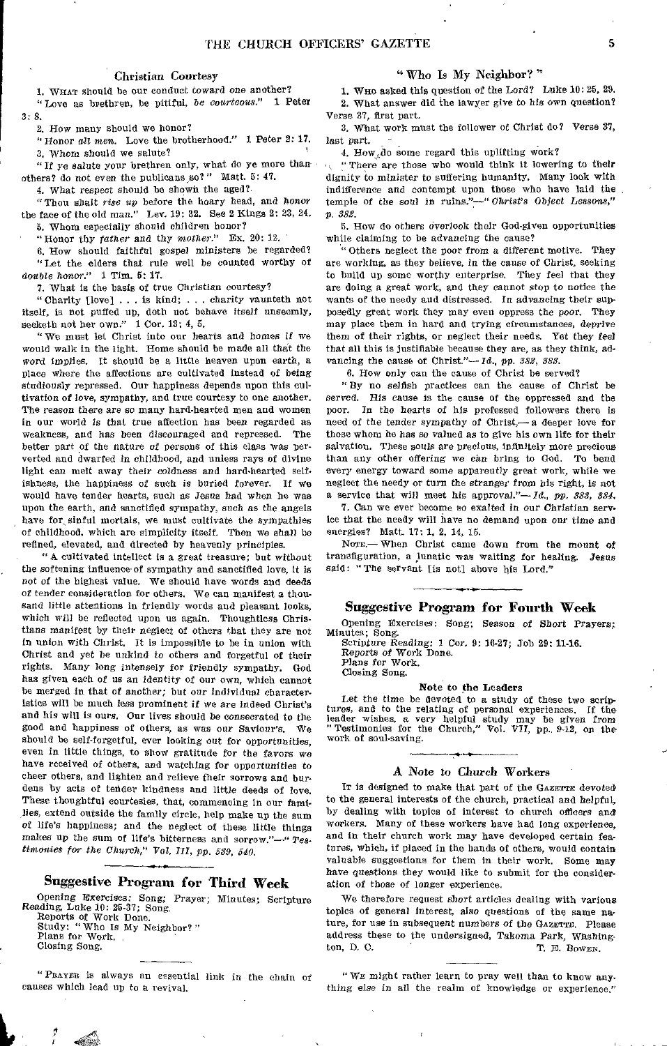# Christian Courtesy

1. WHAT should be our conduct toward one another? "Love as brethren, be pitiful, be *courteous."* 1 Peter 3: 8,

2. How many should we honor?

"Honor all men. Love the brotherhood." 1 Peter 2: 17. 3. Whom should we salute?

" If ye salute your brethren only, what do ye more than others? do not even the publicans so?" Matt. 5: 47.

4. What respect should be shown the aged?.

"Thou shalt *rise up* before the hoary head, and *honor*  the face of the old man." Lev. 19: 32. See 2 Kings 2: 23, 24. 5. Whom especially should children honor?

"Honor thy *father* and thy *mother.*" Ex. 20: 12.

6. How should faithful gospel ministers be regarded? "Let the elders that rule well be counted worthy of *double honor."* 1 Tim. 5: 17.

7. What is the basis of true Christian courtesy?

" Charity [love] . . . is kind; . . charity vaunteth not itself, is not puffed up, doth not behave itself unseemly, seeketh not her own." 1 Cor. 13: 4, 5.

" We must let Christ into our hearts and homes if we would walk in the light. Home should be made all that the word implies. It should be a little heaven upon earth, a place where the affections are cultivated instead of being studiously repressed. Our happiness depends upon this cultivation *of* love, sympathy, and true courtesy to one another. The reason there are so many hard-hearted men and women in our world *is* that true affection has been regarded as weakness, and has been discouraged and repressed. The better part of the nature *of* persons of this class was perverted and dwarfed in childhood, and unless rays of divine light can melt away their coldness and hard-hearted selfishness, the happiness of such is buried forever. If we would have tender hearts, such as Jesus had when he was upon the earth, and sanctified sympathy, such as the angels have for sinful mortals, we must cultivate the sympathies of childhood, which are simplicity itself. Then we shall be refined, elevated, and directed by heavenly principles,

" A cultivated intellect is a great treasure; but without the softening influence of sympathy and sanctified love, it is *not* of the highest value. We should have words and deeds *of* tender consideration for others. We can manifest a thousand little attentions in friendly words and pleasant looks, which will be reflected upon us again. Thoughtless Christians manifest by their neglect of others that they are not in union with Christ. It is impossible to be in union with Christ and yet be unkind to others and forgetful of their rights. Many long intensely for friendly sympathy. God has given each of us *an* identity of our own, which cannot be merged in that of another; but our individual characteristics will be much less prominent if we are indeed Christ's and his will is ours. Our lives should be consecrated to the good and happiness of others, as was our Saviour's. We should be self-forgetful, ever looking out for opportunities, even in little things, to show gratitude for the favors we have received of others, and watching for opportunities to cheer others, and lighten and relieve their sorrows and burdens by acts of tender kindness and little deeds of love. These thoughtful courtesies, that, commencing in our families, extend outside the family circle, help make up the sum *of* life's happiness; and the neglect of these little things makes up the sum of life's bitterness and sorrow."-" Tes*timonies for the Church," Vol. III, pp. 539, 540.* 

# Suggestive Program for Third Week

Opening Exercises: Song; Prayer; Minutes; Scripture Reading, Luke 10: 25-37; Song. Reports of Work Done. Study: " Who Is My Neighbor? " Plans for Work. Closing Song.

causes which lead up to a revival. Thing else in all the realm of knowledge or experience." "PRAYER is always an essential link in the chain of

# " Who Is My Neighbor? "

1. Wno asked this question of the Lord? Luke 10: 25, 29. 2. What answer did the lawyer give to his own question? Verse 37, first part.

3. What work must the follower of Christ do? Verse 37, last part.

4. How  $d$ o some regard this uplifting work?

" There are those who would think it lowering to their dignity to minister to suffering humanity. Many look with indifference and contempt upon those who have laid the temple of the soul in ruins."—" *Christ's Object* Lessons," p. *382.* 

5. How do others overlook their God-given opportunities while claiming to be *advancing* the cause?

" Others neglect the poor from a different motive. They are working, as they believe, in the cause of Christ, seeking to build up some worthy enterprise, They feel that they are doing a great work, and they cannot stop *to* notice the wants of the needy and distressed. In advancing their supposedly great work they may even oppress the poor. They may place them in hard and trying circumstances, deprive them of their rights, or neglect their needs. Yet they feel that all this is justifiable because they are, as they think, advancing the cause of Christ"— *Id., pp. 382, 383.* 

6. How only can the cause of Christ be served?

" By no selfish practices can the cause of Christ be served. His cause is the cause of the oppressed and the poor. In the hearts of his professed followers there is need of the tender sympathy of Christ,— a deeper love for those whom he has *so* valued as to give his own life for their salvation. These souls are precious, infinitely more precious than any other offering we *can* bring to God. To bend every energy toward some apparently great work, while we neglect the needy or turn the stranger from his right, is not a service that will meet his approval."—Id., *pp. 388, 384.* 

7. Can we ever become so exalted in our Christian service that the needy will have no demand upon our time and energies? Matt. 17: 1, 2, 14, 15.

None.— When Christ came down from the mount of transfiguration, a lunatic was waiting for healing. Jesus said: " The servant [is not] above his Lord."

# *Suggestive* Program for Fourth Week

Opening Exercises: Song; Season *of* Short Prayers; Minutes; Song.

Scripture Reading: 1 Cor. 9: 16-27; Job 29; 11-16. Reports of Work Done.

Plans for Work. Closing Song.

#### Note to the Leaders

Let the time be devoted to a study of these two scrip*tures,* and to the relating of personal experiences. If the leader wishes, a very helpful study may be given from " Testimonies for the Church," Vol. VII, pp., 9-12, on the work of soul-saving.

# A Note to Church Workers

It is designed to make that part of the GAZETTE devoted to the general interests of the church, practical and helpful, by dealing with topics of interest to church officers and workers. Many of these workers have had long experience, and in their church work may have developed certain features, which, if placed in the hands of others, would contain valuable suggestions for them in their work. Some may have questions they would like to submit for the consider. ation of those of longer experience.

We therefore request short articles dealing with various topics of general interest, also questions of the same nature, for use in subsequent numbers of the GAZETTE. Please address these to the undersigned, Takoma Park, Whshington, D. C. *T. E. Dowry.* 

" WE might rather learn to pray well than to know any-

Ł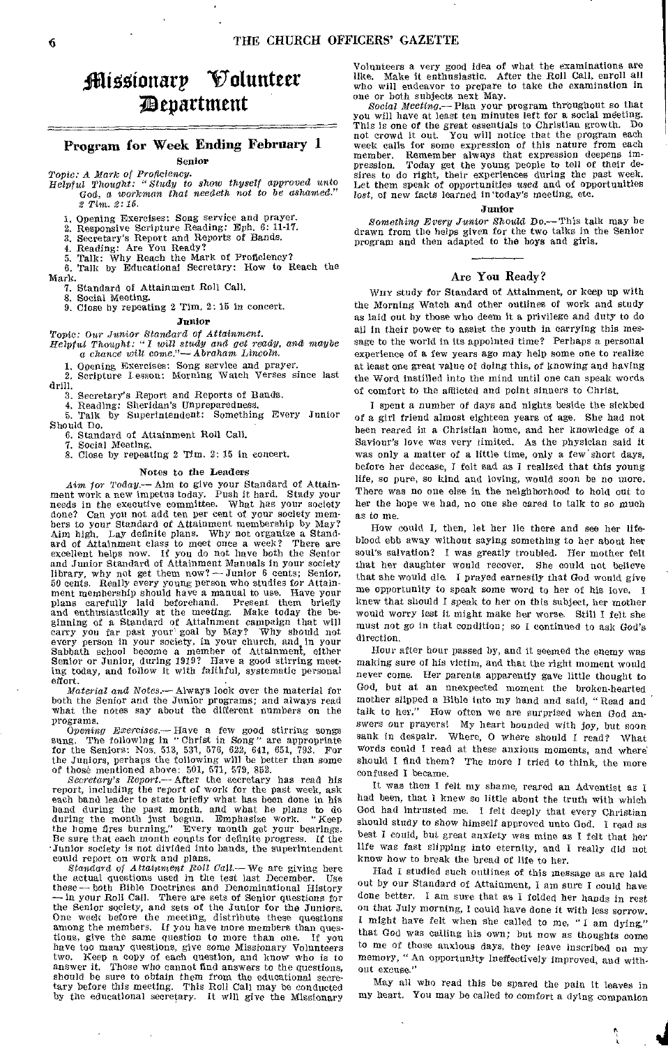# jiliootonarp Volunteer department

# Program for Week Ending February 1

Senior

*Topic: A Mark of Proficiency. Helpful Thought: "Study to show thyself approved* **unto** 

**God, a** *workman that needeth not to be ashamed." Tim. 2: 15.* 

**1. Opening Exercises: Song service and prayer, 2. Responsive Scripture Reading: Eph. 6: 11-17.** 

**3, Secretary's Report and Reports of Bands.** 

**4. Reading: Are You Ready?** 

**5. Talk: Why Reach the Mark of Proficiency? 6. Talk by Educational Secretary: How to Reach the Mark.** 

**7. Standard of Attainment Roll Call.** 

**8. Social Meeting.** 

**9. Close by repeating 2 Tim. 2: 15 in concert.** 

#### Junior

*Topic:* **Our** *Junior Standard of Attainment. Helpful Thought: "I will study and get ready, and maybe a chance will* **come."—** *Abraham Lincoln.* 

**1. Opening Exercises: Song service and prayer. 2. Scripture Lesson: Morning Watch Verses since last drill.** 

**3. Secretary's Report and Reports of Bands.** 

**4. Reading: Sheridan's Unpreparedness.** 

**5. Talk by Superintendent: Something Every Junior Should Do.** 

**6. Standard of Attainment Roll Call.** 

**7. Social Meeting, 8. Close by repeating 2 Tim. 2: 15 in concert.** 

# **Notes** to the Leaders

**Aim** *for Today.—* **Aim to give your Standard of Attainment work a new impetus today. Push it hard. Study your needs in the executive committee. What has your society done? Can you not add ten per cent of your society members to your Standard of Attainment membership by May? Aim high. Lay definite plans. Why not organize a Standard of Attainment class to meet once a week? There are excellent helps now. If you do not have both the Senior and Junior Standard of Attainment Manuals in your society library, why not get them now? —Junior 6 cents; Senior, 50 cents. Really every young person who studies for Attainment membership should have a manual to use. Have your plans carefully laid beforehand. Present them briefly and enthusiastically at the meeting. Make today the beginning of a Standard of Attainment campaign that will carry you far past your' goal by May?** Why should not every person in your society in your change of  $W$  is a should not **every person in your society, in your church, and in your Sabbath school become a member of Attainment, either Senior or Junior, during 1919? Have a good stirring meeting today, and follow it with faithful, systematic personal effort.** 

*Material and* **Notes.— Always look over the material for both the Senior and the Junior programs; and always read what the notes say about the different numbers on the programs.** 

*Opening Exercises.—Have* **a few good stirring songs sung. The following in "Christ in Song" are appropriate**  for the Seniors: Nos. 513, 531, 576, 622, 641, 651, 793. **the Juniors, perhaps the following will be better than some** 

**of those mentioned above: 501, 571, 579, 852.**  *Secretary's Report.—* After **the secretary has read his**  report, including the report of work for the past week, ask<br>each band leader to state briefly what has been done in his<br>band during the past month, and what he plans to do<br>during the month just begun. Emphasize work. "Keep **Be sure that each month counts for definite progress. If the •Junior society is not divided into bands, the superintendent could report on work and plans.** 

**Standard** *of Attainment Roll Call.—We* **are giving here**  the actual questions used in the test last December. **these— both Bible Doctrines and Denominational History — in your Roll Call. There are sets of Senior questions for the Senior society, and sets of the Junior for the Juniors. One week before the meeting, distribute these questions among the members. If you have more members than questions, give the same question to more than one. If you have too many questions, give some Missionary Volunteers two. Keep a copy of each question, and know who is to answer it. Those who cannot find answers to the questions, should be sure to obtain them from the educational secre-tary before this meeting. This Roll Call may be conducted by the educational secretary. It will give the Missionary** 

**Volunteers a very good idea of what the examinations are like. Make it enthusiastic. After the Roll Call, enroll all who will endeavor to prepare to take the examination in** 

**one or both subjects next May.**  *Social Meeting.—Plan* **your program thrbughout so that you will have at least ten minutes left for a social meeting. This is one of the great essentials to Christian growth. Do not crowd it out. You will notice that the program each week calls for some expression of this nature from each member. Remember always that expression deepens impression. Today get the young people to tell of their desires to do right, their experiences during the past week. Let them speak of opportunities used and of opportunities**  *lost,* **of new facts learned in 'today's meeting, etc.** 

# Junior

*Something Every Junior* **Should Do.— This talk may be drawn from the helps given for the** two **talks in the Senior program and then adapted to** the boys and girls,

# Are You Ready?

WM' **study for Standard of Attainment, or keep up with the Morning Watch and other outlines of work and study as laid out by those who deem it a privilege and duty to do all in their power to assist the youth in carrying this message to the world in its appointed time? Perhaps a personal experience of a few years ago may help some one to realize at least one great value of doing this, of knowing and having the Word instilled into the mind until one can speak words of comfort to the afflicted and point sinners to Christ.** 

**I spent a number of days and nights beside the sickbed of a girl friend almost eighteen years of age. She had not been reared in a Christian home, and her knowledge of a Saviour's love was very limited. As** the **physician said It was only a matter of a little time, only a few short days, before her decease, I felt sad as I realized that this** *young*  **life, so pure, so kind and loving, would soon be no more. There was no one else in the neighborhood to hold out to her the** hope **we had, no one she cared to talk to so** much **as to me.** 

**How could I, then, let her lie there and see her lifeblood ebb away without saying something to her about her soul's salvation? I was greatly troubled. Her mother felt that her daughter would recover. She could not believe that she would die. I prayed earnestly that God would give me opportunity to speak some word to her of his love. I knew that should I speak to her on this subject, her mother would worry lest it might make her worse. Still I felt she must not go in that condition;** *so* **I continued to ask God's direction.** 

**Hour after hour passed by, and it seemed the enemy was making sure of his victim, and that the right moment would never come. Her parents apparently gave little thought to God, but at an unexpected moment the broken-hearted mother slipped a Bible into my hand and said, "Read and talk to her." How often we are surprised when God answers our prayers! My heart bounded with joy, but soon sank in despair. Where,** 0 **where should I read? What words could I read at these anxious moments, and where should I find them? The more I tried to think, the more confused I became.** 

**It was then I felt my shame, reared an Adventist as I had been, that I knew so little about the truth with which God had intrusted me. I felt deeply that every Christian should** study **to show himself approved unto God. I read as best I could, but great anxiety was mine as I felt that her life was fast slipping into eternity, and I really did not know how to break the bread of life to her.** 

**Had I studied such outlines of this message as are laid out by our Standard of Attainment, I am sure** I **could have done better, I ant sure that as I folded her hands in rest on that July morning, I could have done it with less sorrow. I might have felt when she called to me, "I am dying," that God was calling his own; but now as thoughts come to me of those anxious** days, **they leave inscribed on my memory, "An opportunity Ineffectively improved, and without excuse."** 

**May all who read this be spared the pain it leaves in my heart, You may be called to comfort a dying companion**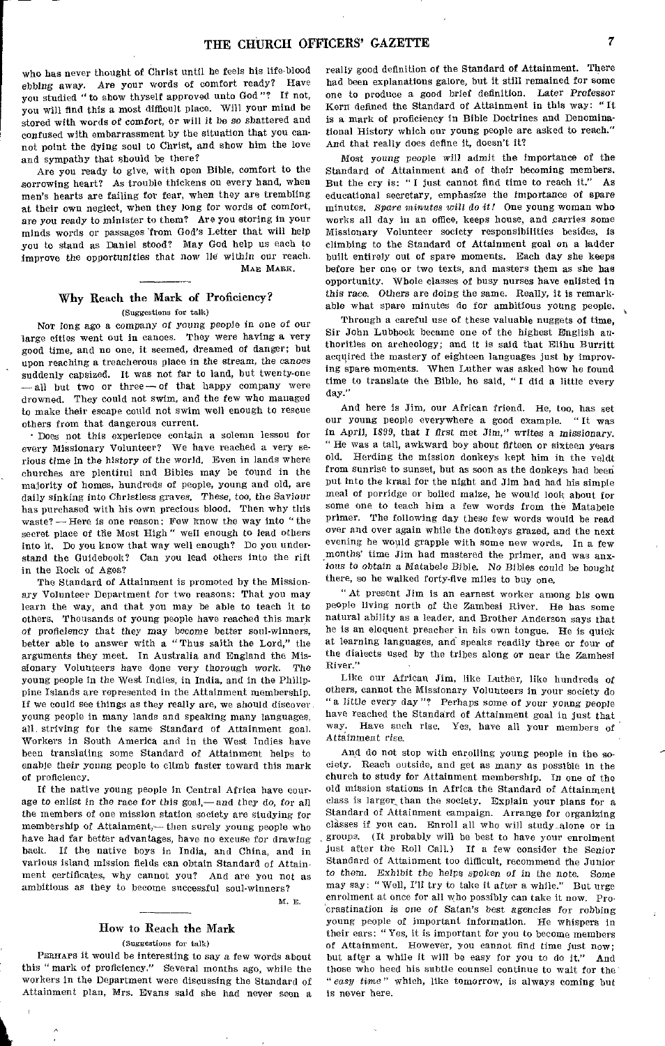who has never thought of Christ until he feels his life-blood *ebbing away.* Are your words of comfort ready? Have you studied "to show thyself approved unto God"? If not, you will find this a most difficult place. Will your mind be stored with words of comfort, *or* will it be so shattered and confused with embarrassment by the situation that you cannot point the dying soul to Christ, and show him the love and sympathy that should be there?

Are you ready to give, with open Bible, comfort to the sorrowing heart? As trouble thickens on every hand, when men's hearts are failing for fear, when they are trembling at their own neglect, when they long for words of comfort, are you ready to minister to them? Are you storing in your minds words or passages 'from God's Letter that will help you to stand as Daniel stood? May God help us each to improve the opportunities that now lie within our reach. MAE MARK.

# Why Reach the Mark of Proficiency? (Suggestions for talk)

Nor long ago a company of *young* people in one of our large cities went out in canoes. They were having a very good time, and no one, it seemed, dreamed of danger; but upon reaching a treacherous place in the stream, the canoes suddenly capsized. It was not far to land, but twenty-one —all but two or three—of that happy company were drowned. They could not swim, and the few who managed to make their escape could not swim well enough to rescue others from that dangerous current.

• Does not this experience contain a solemn lesson for every Missionary Volunteer? We have reached a very serious time in the *history of* the world. Even in lands where churches are plentiful and Bibles may he found in the majority of homes, hundreds of people, young and old, are daily sinking into Christless graves. These, *too,* the Saviour has purchased with his own precious blood. Then why this waste? — Here is one reason: Few know the way into " the secret place of the Most High" well enough to lead others into it, Do you know that way well enough? Do you understand the Guidebook? Can you lead others into the rift in the Rock of Ages?

The Standard of Attainment is promoted by the Missionary Volunteer Department for two reasons: That you may learn the way, and that you may be able to teach it to others. Thousands of young people have reached this mark of proficiency that they may become better soul-winners, better able to answer with a "Thus saith the Lord," the arguments they meet. In Australia and England the Missionary Volunteers have done very thorough work. The young people in the West Indies, in India, and in the Philippine Islands are represented in the Attainment membership. If we could see things as they really are, we should discover young people in many lands and speaking many languages, all. striving for the same Standard of Attainment goal. Workers in South America and in the West Indies have been translating some Standard of Attainment helps to enable their young people to climb faster toward this mark of proficiency.

If the native young people in Central Africa have courage to *enlist in* the race for this *goal,— and* they do, *for* all the members of one mission station society are studying for membership of Attainment,— then surely young people who have had far better advantages, have no excuse for drawing back. If the native boys in India, and China, and in various island mission fields can obtain Standard of Attainment certificates, why cannot you? And are you not as ambitious as they to become successful soul-winners?

M. E.

# How to Reach the Mark

(Suggestions for talk)

PERHAPS it would be interesting to say a few words about this " mark of proficiency." Several months ago, while the workers in the Department were discussing the Standard of Attainment plan, Mrs. Evans said she had never seen a

really good definition of the Standard of Attainment. There had been explanations galore, but it still remained for some one to produce a good brief definition. Later Professor Kern defined the Standard of Attainment in this way: " It is a mark of proficiency in Bible Doctrines and Denominational History which our young people are asked to reach:' And that really does define it, doesn't it?

Most *young* people will admit the importance of the Standard of Attainment and of their becoming members. But the cry is: " I just cannot find time to reach it." As educational secretary, emphasize the importance of spare minutes. *Spare minutes will do it?* One young woman who works all day in an office, keeps house, and carries some Missionary Volunteer society responsibilities besides, is climbing to the Standard of Attainment goal on a ladder built entirely out of spare moments. Each day she keeps before her one or two texts, and masters them as she has opportunity. Whole classes of busy nurses have enlisted in this race. Others are doing the same. Really, it is remarkable what spare minutes do for ambitious young people.

Through a careful use of these valuable nuggets of time, Sir John Lubbock became one of the highest English authorities on archeology; and it is said that Elihu Burrltt acquired the mastery of eighteen languages just by improving spare moments. When Luther was asked how he found time to translate the Bible, he said, " I did a little every day."

And here is Jim, our African friend. He, too, has set our young people everywhere a good example. " It was in April, 1899, that I first met Jim," writes a *missionary.*  " He was a tall, awkward boy about fifteen or sixteen years old. Herding the mission donkeys kept him in the veldt from sunrise to sunset, but as soon as the donkeys had been put into the kraal for the night and Jim had had his simple meal of porridge or boiled maize, he would look about for some one to teach him a few words from the Matabele primer. The following day these few words would be read over and over again while the donkeys grazed, and the next evening he would grapple with some new words. In a few months' time Jim had mastered the primer, and was anxious to obtain a Matabele Bible. *No* Bibles could be bought there, so he walked forty-five miles to buy one.

"At present Jim is an earnest worker among his own people living north of the Zambesi River. He has some natural ability as a leader, and Brother Anderson says that he is an eloquent preacher in his own tongue. He is quick at learning languages, and speaks readily three or four of the dialects used by the tribes along or near the Zambesi River."

Like our African Jim, like Luther, like hundreds of others, cannot the Missionary Volunteers in your society do "a *little* every day "? Perhaps some of your young people have reached the Standard of Attainment goal in just that way. Have such rise. Yes, have all your members of Attainment rise.

And do not stop with enrolling young people in the society. Reach outside, and get as many as possible in the church to study for Attainment membership. In one of the old mission stations in Africa the Standard of Attainment class is larger than the society. Explain your plans for a Standard of Attainment campaign. Arrange for organizing classes if you can. Enroll all who will study alone or in groups. (It probably will be best to have your enrolment just after the Roll Call.) If a few consider the Senior Standard of Attainment too difficult, recommend the Junior to them. Exhibit the helps spoken of in the note. Some may say: "Well, I'll try to take it after a while." But urge enrolment at once for all who possibly can take it now. Procrastination is one of Satan's best *agencies for robbing*  young people of important information. He whispers in their ears: " Yes, it is important for you to become members of Attainment. However, you cannot find time just now; but after a while it will be easy for you to do it." And those who heed his subtle counsel continue to wait for the " *easy time"* which, like tomorrow, is always coming but is never here.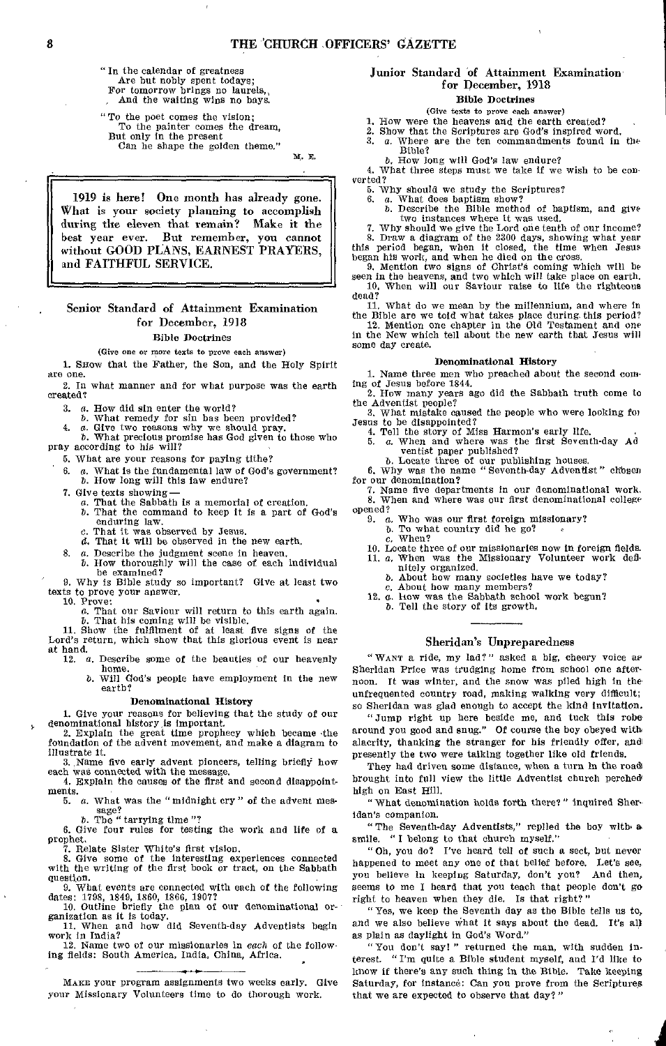" In the calendar of greatness Are but nobly spent todays; For tomorrow brings no laurels,

And the waiting wins no bays.

"To the poet comes the vision; To the painter comes the dream, But only in the present Can he shape the golden theme."

M. E.

1919 is here! One month has already gone. What is your society planning to accomplish during the eleven that remain? Make it the best year ever. But remember, you cannot without GOOD PLANS, EARNEST PRAYERS, and FAITHFUL SERVICE.

# Senior Standard of Attainment Examination for December, 19]8

# Bible Doctrines

#### (Give one or more texts to prove each answer)

1. SHOW that the Father, the Son, and the Holy Spirit are one.

2. In what manner and for what purpose was the earth created?

3. *a.* How did sin enter the world?

- 
- 

*b.* What remedy for sin has been provided?<br>
4. *a*. Give two reasons why we should pray.<br> *b*. What precious promise has God given to those who<br>
pray according to his will?

5. What are your reasons for paying tithe?

- 6. *a.* What is the fundamental law of God's government?<br> *b.* How long will this law endure?<br>
7. Give texts showing —<br> *a.* That the Sabbath is a memorial of creation. *b.* How long will this law endure?
- 
- 7. Give texts showing  $a$ . That the Sabbath is a memorial of creation. b. That the command to keep it is a part of God's enduring law.
	-
	- *e.* That it was observed by Jesus. *d.* That it will be observed in the new earth.
- 8. *a.* Describe the judgment scene in heaven.
- *b.* How thoroughly will the case of each individual be examined?

9. Why is Bible study so important? Give at least two texts to prove your answer.<br>10. Prove:

10. Prove: **6. Prove: a. That our Saviour will return to this earth again.** 

*b*. That his coming will be visible.<br>
11. Show the fulfilment of at least five signs of the<br>
Lord's return, which show that this glorious event is near at hand.

12. *a.* Describe some of the beauties of our heavenly home.

*b.* Will God's people have employment in the new earth?

#### Denominational History

1. Give your reasons for believing that the study of our denominational history, is important. 2. Explain the great time prophecy which became •the

foundation of the advent movement, and make a diagram to illustrate it.

3. Name five early advent pioneers, telling briefly how each was connected with the message. 4. Explain the causes of the first and second disappoint-

ments. 5. *a.* What was the "midnight cry" of the advent mes-

sage?<br>*b*. The " tarrying time"?

6. Give four rules for testing the work and life of a prophet.

7. Relate Sister White's first vision. 8. Give some of the interesting experiences connected with the writing of the first book or tract, on the Sabbath question.

9. What events are connected with each of the following<br>dates: 1798, 1849, 1860, 1866, 1907?<br>10. Outline briefly the plan of our denominational or-<br>ganization as it is today.<br>11. When and how did Seventh-day Adventists beg

work in India?

12. Name two of our missionaries in *each* of the following fields: South America, India, China, Africa. •

MAKE your program assignments two weeks early. Give your Missionary Volunteers time to do thorough work.

# Junior Standard of Attainment Examination for December, 1918

# Bible Doctrines

(Give texts to prove each answer)

- 1. How were the heavens and the earth created?
- 2. Show that the Scriptures are God's inspired word.<br>3.  $a$ . Where are the ten commandments found in a. Where are the ten commandments found in the
- Bible?
- *b.* How long will God's law endure?

4. What three steps must we take if we wish to be con verted?

5. Why should we study the Scriptures? 6. a. What does baptism show?

b. Describe the Bible method of baptism, and give

two instances where it was used. 7. Why should we give the Lord one tenth of our income?

8. Draw a diagram of the 2300 days, showing what year this period began, when it closed, the time when Jesus

began his work, and when he died on the cross. 9. Mention two signs of Christ's coming which will be seen in the heavens, and two which will take place on earth. 10. When will our Saviour raise to life the righteous dead?

11. What do we mean by the millennium, and where in the Bible are we told what takes place during this period? 12. Mention one chapter in the Old Testament and one in the New which tell about the new earth that Jesus will some day create.

#### Denominational History

1. Name three men who preached about the second coming of Jesus before 1844.

2. How many years ago did the Sabbath truth come to<br>the Adventist people?<br>3. What mistake caused the people who were looking for<br>Jesus to be disappointed?<br>4. Tell the story of Miss Harmon's early life.<br>5. a. When and wher

- 
- 

ventist paper published?<br>
b. Locate three of our publishing houses.<br>
6. Why was the name "Seventh-day Adventist" chosen for our denomination?

7. Name five departments in our denominational work. 8. When and where was our first denominational college opened?

- 9. a. Who was our first foreign missionary?
	- b. To what country did he go?
	- c. When?
- 10. Locate three of our missionaries now in foreign fields. 11. a. When was the Missionary Volunteer work defi-
- nitely organized.<br>
b. About how many societies have we today?<br>
c. About how many members?<br>
12. a. how was the Sabbath school work begun?
	-
- *b.* Tell the story of its growth.

# Sheridan's Unpreparedness

" WANT a ride, my lad?" asked a big, cheery voice as Sheridan Price was trudging home from school one afternoon. It was winter, and the snow was piled high in the unfrequented country road, making walking very difficult; so Sheridan was glad enough to accept the kind invitation.

"Jump right up here beside me, and tuck this robe around you good and snug." Of course the boy obeyed with alacrity, thanking the stranger for his friendly offer, and presently the two were talking together like old friends.

They had driven some distance, when a turn in the road brought into full view the little Adventist church perched high on East Hill.

"What denomination holds forth there?" inquired Sheridan's companion.

"The Seventh-day Adventists," replied the boy with. a smile. "I belong to that church myself."

"Oh, you do? I've heard tell of such a sect, but never happened to meet any one of that belief before. Let's see, you believe in keeping Saturday, don't you? And then, seems to me I heard that you teach that people don't go right to heaven when they die. Is that right?"

"Yes, we keep the Seventh day as the Bible tells us to, and we also believe what it says about the dead. It's all as plain as daylight in God's Word."

" You don't say! " returned the man, with sudden interest. " I'm quite a Bible student myself, and I'd like to know if there's any such thing in the Bible. Take keeping Saturday, for instance: Can you prove from the Scriptures that we are expected to observe that day?"

i,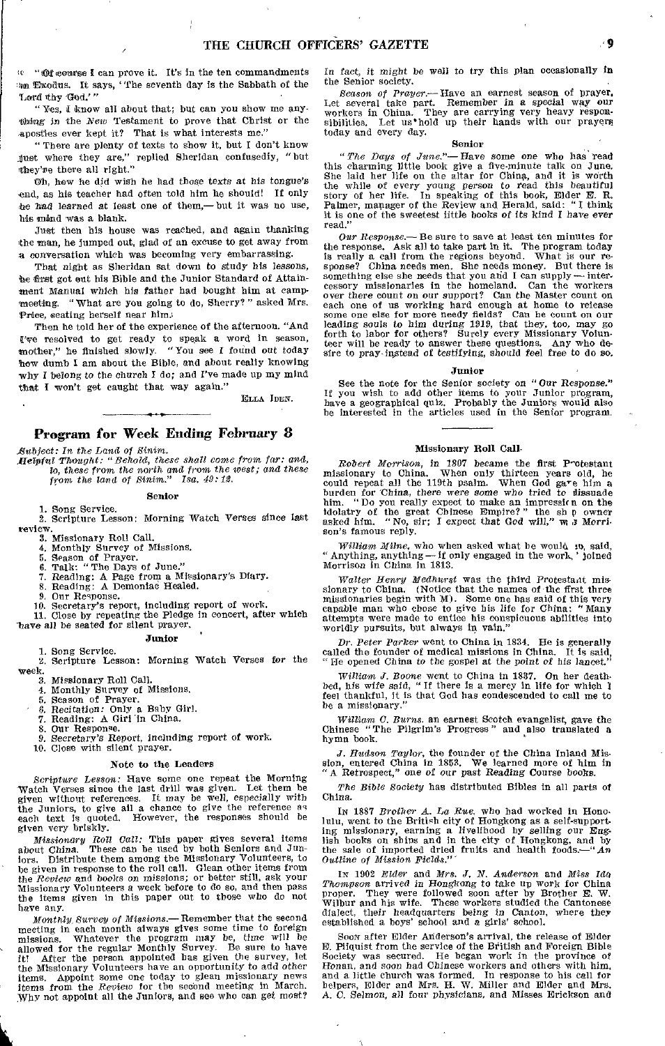-Of oounse I can prove it. It's in the ten commandments An Exodus. It says, "fhe seventh day is the Sabbath of the Lord thy God,'"

"Yes, I know all about that; but can you show me anything in the *New* Testament to prove that Christ or the apostles ever kept it? That is what interests me."

" There are plenty of texts to show it, but I don't know just where they are," replied Sheridan confusedly, "but they're there all right."

Oh, how he did wish he had those texts at *his* tongue's end, as his teacher had often told him he should! If only he had learned at least one of them,— but it was no use, his mind was a blank.

Just then his house was reached, and again thanking the man, he jumped out, glad of an excuse to get away from a conversation which was becoming very embarrassing.

That night as Sheridan sat down to study *his* lessons, be first got out his Bible and the Junior Standard of Attainment Manual which his father had bought him at campmeeting. " What are you going to do, Sherry?" asked Mrs. Price, seating herself near him.

Then he told her of the experience of the afternoon. "And Twe resolved to get ready to speak a word in season, mother," he finished slowly. "You see I found out today how dumb I am about the Bible, and about really knowing why I belong to the church I do; and I've made up my mind that I won't get caught that way again."

ELLA IDEN.

# Program for Week Ending February 8

*Hub feet: In the Land of Sinim.* 

*Helpful Thought: "Behold, these shall come from far: and, lo, these from the north and from the west; and these from the land of Sinim." Ise. 49:12.* 

#### Senior

1. Song Service. 2. Scripture Lesson: Morning Watch Verses since last review.

3. Missionary Roll Call.

4. Monthly Survey of Missions.

6. Season of Prayer. 6. Talk: "The Days of June." 7. Reading: A Page from a Missionary's Diary.

8. Reading: A Demoniac Healed.

9, Our Response.

10. Secretary's report, including report of work. 11. Close by repeating the Pledge in concert, after which have all be seated for silent prayer,

#### Junior

1. Song Service. 2. Scripture Lesson: Morning Watch Verses for the Week.

3. Missionary Roll Call.<br>4. Monthly Survey of N

4. Monthly Survey of Missions. 5. Season of Prayer. 6. Recitation: Only a Baby Girl.

7. Reading: A Girl 'in China.

Our Response.

9. Secretary's Report, including report of work.

10. Close with silent prayer.

## Note to the Leaders

*Scripture Lesson:* Have some one repeat the Morning "Watch Verses since the last drill was given. Let them be given without references. It may be well, especially with the Juniors, to give all a chance to give the reference as each text is quoted. However, the responses should be given very briskly.

*Missionary Roll Call:* This paper gives several items about *China.* These can be used by both Seniors and Juniors. Distribute them among the Missionary Volunteers, to be given in response to the roll call. Glean other items from the *Review* and books on missions; or better still, ask your Missionary Volunteers a week before to do so, and then pass the items given in this paper out to those who do not have any.

*Monthly Survey of Missions.—* Remember that the second meeting in each month always gives some time to foreign<br>missions. Whatever the program may be, time will be<br>allowed for the regular Monthly Survey. Be sure to have<br>it! After the person appointed has given the survey, let<br>t items. Appoint some one today to glean missionary news items from the *Review* for the second meeting in March. Why not appoint all the Juniors, and see who can get most?

In *fact, it might* be well to try this plan occasionally in the Senior society.

*Season of* Prayer.—Have *an* earnest season of prayer. Let several take part. Remember in a special way our workers in China. They are carrying very heavy responsibilities. Let us hold up their hands with our prayers today and every day.

# Senior

*"The Days of June."*—Have some one who has read this charming little book give a five-minute talk on June.<br>She laid her life on the altar for China, and it is worth the while of every young person to read this beautiful story of her life. In speaking of this book, Elder E. R. Palmer, manager of the Review and Herald, said: "I think it is one of the sweetest little books of its kind I have ever read."

Our Response.  $-$  Be sure to save at least ten minutes for<br>the response. Ask all to take part in it. The program today<br>is really a call from the regions beyond. What is our re-<br>sponse? China needs men. She needs money. Bu something else she needs that you and I can supply — inter-<br>cessory missionaries in the homeland. Can the workers over there count on our support? Can the Master count on each one of us working hard enough at home to release some one else for more needy fields? Can he count on our leading souls to him during 1919, that they, too, may

#### Junior

See the note for the Senior society on "Our Response."<br>If you wish to add other items to your Junior program,<br>have a geographical quiz. Probably the Juniors would also<br>be interested in the articles used in the Senior progr

# Missionary Roll Call-

*Robert Morrison,* in 1807 became the first P^otestant missionary to China. When only thirteen years old, he could repeat all the 119th psalm. When God gave him a burden for China, there were some who tried to fissuade him. "Do you really expect to make an impression on the i *son's* famous reply.

*William Milne,* who when asked what be would to, said, "Anything, anything—if only engaged in the work,' joined Morrison in China in 1813.

*Walter Henry Medhurst* was the third Protestant missionary to China. (Notice that the names of the ffrst three missionaries begin with M). Some one has said of this very capable man who chose to give his life for China: "Many attempts were made to entice his conspicuous abilities into worldly pursuits, but always in vain."

*Dr. Peter Parker* went to China in 1834. He is generally called the founder of medical missions in China. It is said, "He opened China to the gospel at the *point of* his lancet."

William J. Boone went to China in 1837. On her death-<br>bed, his wife said, "If there is a mercy in life for which I<br>feel thankful, it is that God has condescended to call me to be a missionary.

*William C. Burns.* an earnest Scotch evangelist, gave the Chinese "The Pilgrim's Progress" and also translated a hymn book.

*J. Hudson Taylor,* the founder of the China Inland Mis-sion, entered China in 1853. We learned more of him in "A Retrospect," one *of our past* Reading Course books.

*The Bible Society* has distributed Bibles in all parts of China.

In 1887 *Brother A. La Rue*, who had worked in Hono-<br>lulu, went to the British city of Hongkong as a self-support-<br>ing missionary, earning a livelihood by selling our Eng-<br>lish books on ships and in the city of Hongkong, *Outline of Mission Fields."* 

IN 1902 *Elder* and *Mrs. J. N. Anderson* and *Miss Ida Thompson* arrived in Hongkong to take up work for China proper. They were followed soon after by Brother E. W. Wilbur and his wife. These workers studied the Cantone

Soon after Elder Anderson's arrival, the release of Elder E. Pilquist from the service of the British and Foreign Bible Society was secured. He began work in the province of Honan, and soon had Chinese workers and others with him, and a little church was formed. In response to his call for helpers, Elder and Mrs. H. W. Miller and Elder and A. 0, *Selmon, all four* physicians, and Misses Erickson and

Ĥ.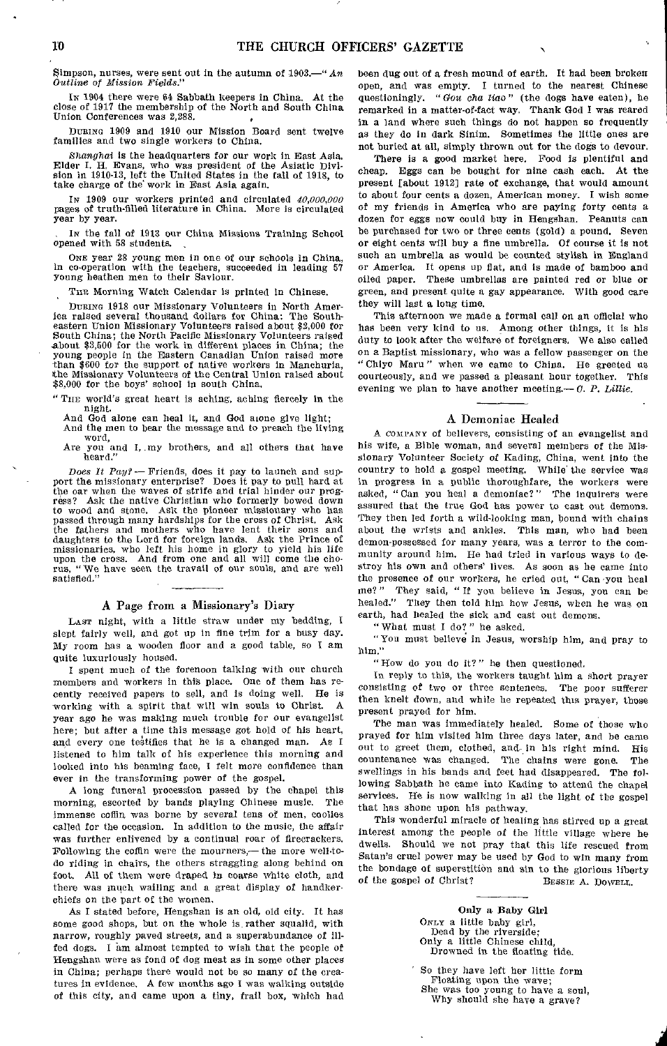Simpson, nurses, were sent out in the autumn of 1903.—"An *Outline of Mission Fields."* 

In 1904 there were 64 Sabbath keepers in China. At the close of 1917 the membership of the North and South China Union Conferences was 2,288.

DURING 1909 and 1910 our Mission Board sent twelve families and two single workers to China.

*Shanghai* is the headquarters for our work in East Asia. Elder I. H. Evans, who was president of the Asiatic Division in 1910-13, left the United States in the fall of 1918, to take charge of the work in East Asia again.

IN 1909 our workers printed and circulated *40,000,000*  pages of truth-filled literature in China. More is circulated year by year.

IN the fall of 1913 our China Missions Training School opened with 58 students.

ONE year 28 young men in one of our schools in China, in co-operation with the teachers, succeeded in leading 57 young heathen men to their Saviour.

THE Morning Watch Calendar is printed in Chinese.

DURING 1918 our Missionary Volunteers in North America raised several thousand dollars for China: The Southeastern Union Missionary Volunteers raised about \$2,000 for South China; the North Pacific Missionary Volunteers raised about \$3,500 for the work in different places in China; the young people in the Eastern Canadian Union raised more than \$600 for the support of native workers in Manchuria, the Missionary Volunteers of the Central Union raised about \$8,000 for the boys' school in south China.

" Tin; world's great heart is aching, aching fiercely in the night.

And God alone can heal it, and God aione give light;

And the men to bear the message and to preach the living word,

Are you and I, my brothers, and all others that have heard."

*Does It Pay?—* Friends, does it pay to launch and support the missionary enterprise? Does it pay to pull hard at the oar when the waves of strife and trial hinder our prog-ress? Ask the native Christian who formerly bowed down to wood and stone. Ask the pioneer missionary who has passed through many hardships for the cross of Christ. Ask the fathers and mothers who have lent their sons and daughters to the Lord for foreign lands. Ask the Prince of missionaries, who left his home in glory to yield his life upon the cross. And from one and all will come the cho-rus, "We have seen the travail of our souls, and are well satisfied."

# A Page from a Missionary's Diary

LAST night, with a little straw under my bedding, I slept fairly well, and got up in *fine* trim for a busy day. My room has a wooden floor and a good table, so I am quite luxuriously housed.

I spent much of the forenoon talking with our church members and workers in this place. One of them has recently received papers to sell, and is doing well. He is<br>working with a spirit that will win souls to Christ. A working with a spirit that will win souls to Christ. year ago he was making much trouble for our evangelist here; but after a time this message got hold of his heart, and every one testifies that he is a changed man. As I listened to him talk of his experience this morning and looked into his beaming face, I felt more confidence than ever in the transforming power of the gospel.

A long funeral procession passed by the chapel this rning, escorted by bands playing Chinese music. The morning, escorted by bands playing Chinese music. immense coffin was borne by several tens of men, coolies called for the occasion. In addition to the music, the affair was further enlivened by a continual roar of firecrackers. Following the coffin were the mourners,— the more well-todo riding in chairs, the others straggling along behind on foot. All of them were draped in coarse white cloth, and there was much wailing and a great display of handkerchiefs on the part of the women,

As I stated before, Hengshan is an old, old city. It has some good shops, but on the whole is rather squalid, with narrow, roughly paved streets, and a superabundance of illfed dogs. I am almost tempted to wish that the people of Hengshan were as fond of dog meat as in some other places in China; perhaps there would not be so many of the creatures in evidence. A few months ago I was walking outside of this city, and came upon a tiny, frail box, which had been dug out of a fresh mound of earth. It had been broken open, and was empty. I turned to the nearest Chinese questioningly. *"Gou ohs lino"* (the dogs have eaten), he remarked in a matter-of-fact way. Thank God I was reared in a land where such things do not happen so frequently as they do in dark Sinim. Sometimes the little ones are not buried at all, simply thrown out for the dogs to devour.

There is a good market here. Food is plentiful and cheap. Eggs can be bought for nine cash each. At the present [about 1912] rate of exchange, that would amount to about four cents a dozen, American money. I wish some of my friends in America who are paying forty cents a dozen for eggs now could buy in Hengshan. Peanuts can be purchased for two or three cents (gold) a pound. Seven or eight cents will buy a fine umbrella. Of course it is not such an umbrella as would be counted stylish in England or America. It opens up flat, and is made of bamboo and oiled paper. These umbrellas are painted red or blue or green, and present quite a gay appearance. With good care they will last a long time.

This afternoon we made a formal call on an official who has been very kind to us. Among other things, it is his duty to look after the welfare of foreigners. We also called on a Baptist missionary, who was a fellow passenger on the " Chiyo Maru " when we came to China. He greeted us courteously, and we passed a pleasant hour together. This evening we plan to have another meeting.— *C. P. Lillie.* 

# A Demoniac Healed

A COMPANY of believers, consisting of an evangelist and his wife, a Bible woman, and several members of the Missionary Volunteer Society of Ending, China, went into the country to hold a gospel meeting. While the service was in progress in a public thoroughfare, the workers were asked, " Can you heal a demoniac?" The inquirers were assured that the true God has power to cast out demons. They then led forth a wild-looking man, bound with chains about the wrists and ankles. This man, who had been demon-possessed for many years, was a terror to the community around him. He had tried in various ways to destroy his own and others' lives. As soon as he came into the presence of our workers, he cried out, " Can you heal me?" They said, " If you believe in Jesus, you can be healed." They then told him how Jesus, when he was on earth, had healed the sick and cast out demons.

" What must I do? " he asked.

"You must believe in Jesus, worship him, and pray to him."

"How do you do it?" he then questioned,

In reply to this, the workers taught him a short prayer consisting of two or three sentences. The poor sufferer then knelt down, and while he repeated this prayer, those present prayed for him.

The man was immediately healed. Some of those who prayed for him visited him three days later, and he came out to greet them, clothed, and in his right mind. His countenance was changed. The chains were gone. The swellings in his hands and feet had disappeared. The following Sabbath he came into Kading to attend the chapel services. He is now walking in all the light of the gospel that has shone upon his pathway.

This wonderful miracle of healing has stirred up a great interest among the people of the little village where he dwells. Should we not pray that this life rescued from Satan's cruel power may be used by God to win many from the bondage of superstition and sin to the glorious liberty of the gospel of Christ? BESSIE A. DOWELL.

> Only a Baby Girl ONLY a little baby girl, Dead by the riverside; Only a little Chinese child, Drowned in the floating tide.

So they have left her little form Floating upon the wave; She was too young to have a soul, Why should she have a grave?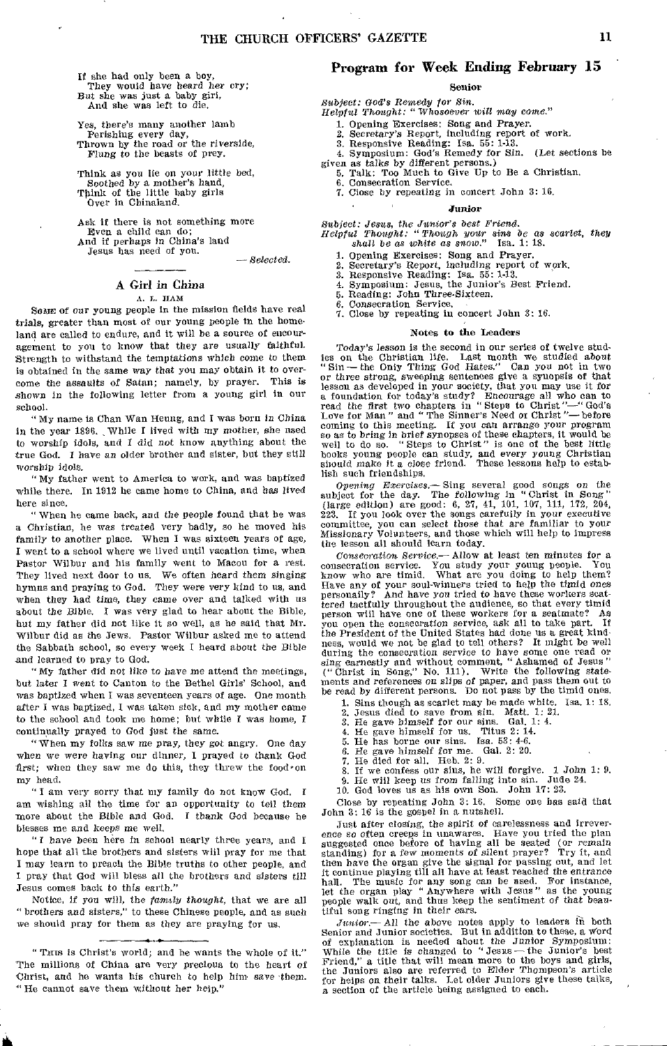If she had only been a boy, They would have heard her cry;<br>But she was just a baby girl, And she was left to die.

Yes, there's many another lamb Perishing every day, Thrown by the road or the riverside, *Flung* to the beasts of prey.

Think as you lie on your little bed, Soothed by a mother's hand, Think of the little baby girls Over in Chinaland.

Ask if there is not something more Even a child can do; And if perhaps in China's land Jesus has need of you.

#### - Selected.

# A Girl *in China*  A. L. TIAM

SOME *of our* young people in the mission fields have real trials, greater than most of our young people in the homeland are called to endure, and it will be a source of encouragement to you to know that they are usually faithful. Strength to withstand the temptations *which* come to them is obtained in the same way that you may obtain it to overcome the assaults *of* Satan; namely, by prayer. This is *shown* in the following letter from a young girl in our school.

"My name is Chan Wan Heung, and I was born in *China*  in the year 1896. , While I lived with my mother, she used to worship idols, and I did not know anything about the true God. I have an older brother and sister, but they still worship idols,

"My father went to America to work, and was baptized while there. In 1912 he came home to China, and has lived here since.

" When he came back, and the people found that he was a Christian, he was treated very badly, so he moved his *family* to another place. When I was sixteen years of age, I went to a school where we lived until vacation time, when Pastor Wilbur and his family Went to Macon for a rest. They lived next door to us. We often heard them *singing*  hymns and praying to God. They were very kind to us, and when they had time, they came over and talked with us about the Bible. I was very glad to hear about the Bible, but my father did not like it so well, as he said that Mr. Wilbur did as the Jews. Pastor Wilbur asked me to attend the Sabbath school, so every week I heard about the Bible and learned to pray to God.

"My father did not like to have me attend the meetings, but *later I* went to Canton to the Bethel Girls' School, and was bantized when I was seventeen years of age. One month after I was baptized, I was taken sick, and my mother came to the school and took me home; but while I was home, I continually prayed to God just the same.

"When my folks saw me pray, they got angry. One day when we were having our dinner, I prayed to thank God first; when they saw me do this, they threw the food on my head.

" I am very sorry that my family do not know God. I am wishing all the time for an opportunity to tell them more about the Bible and God. I thank God because he blesses me and keeps me well.

"I have been here in school nearly three years, and I hope that all the brothers and sisters will pray for me that I may learn to preach the Bible truths to other people, and I pray that God will bless all the brothers and sisters till Jesus comes back to this earth."

Notice, if you will, the *family thought,* that we are all "brothers and sisters," to these Chinese people, and as such we should pray for them as they are praying for us,

# Program for Week Ending February 15

# Senior

*Subject: God's Remedy for Sin. Helpful Thought: "Whosoever will* may come."

1. Opening Exercises: Song and Prayer. 2. Secretary's Report, including report of work. 3. Responsive Reading: Isa. 55: 1-13.

4. Symposium: God's Remedy for Sin. (Let sections be given as talks by different persons.) 5. Talk: Too Much to Give Up to Be a Christian.

6. Consecration Service. 7. Close by repeating in concert John 3: 16.

*Junior* 

*Subject: Jesus, the Junior's best Friend. Helpful Thought: "Though your sins be* as scarlet, they *shall be as white as snow,"* Isa. 1: 18.

1. Opening Exercises: Song and Prayer.

2. Secretary's Report, including report of work. 3. Responsive Reading: Isa. 55: 1-13. 4. Symposium: Jesus, the Junior's Best Friend. 5. Reading: John Three-Sixteen.

6. Consecration Service. 7. Close by repeating in concert John 3: 16.

#### Notes to the Leaders

Today's lesson is the second in our series of twelve studies on the Christian life. Last month we studied about "Sin - the Only Thing God Hates." Can you not in two or three *strong,* sweeping sentences give a synopsis of that lesson as developed in your society, that you may use it for<br>a foundation for today's study? Encourage all who can to<br>read the first two chapters in "Steps to Christ"—"God's<br>Love for Man " and "The Sinner's Need or Christ" so as to bring in brief synopses of these chapters, it would be well to do so. " Steps to Christ" is one of the best little books young people can study, and every young Christian should make it a close friend. These lessons help to establish such friendships.

*Opening Exercises.-* Sing several good songs on the subject for the day. The following in "Christ in Song" (large edition) are good: 6, 27, 41, 101, 107, 111, 172, 204, 223. If you look over the songs carefully in your executive committee, you can select those that are familiar to your *Missionary* Volunteers, and those which will help to impress the lesson all should learn today.

*Consecration Service.-* Allow at least ten *minutes* for a consecration service. You study your young people. You know who are timid. What are you doing to help them? Have any of your soul-winners tried to help the *timid* ones personally? And have you tried to have these workers scattered tactfully throughout the audience, so that every timid person will have one of these workers for a seatmate? As you open the consecration service, ask all to take part. If the President of the United States had done us a great kind-ness, would we not be glad to tell others? It might be well during the consecration service to have some one read or sing earnestly and without comment, "Ashamed of Jesus" ("Christ in Song," No. 111). Write the following statements and references on slips of paper, and pass them out to be read by different persons. Do not pass by the tim

1. Sins though as scarlet may be made white. Isa, 1: 18.

2. Jesus died to save from sin. Matt. 1: 21.

3. He gave himself for our sins. Gal. 1: 4. 4. He gave himself for us. Titus 2: 14.

5. He has borne our sins. Isa. 53: 4-6. 6. He gave himself for me. Gal. 2: 20.

7. He died for all. Heb. 2: 9.<br>8. If we confess our sins, he

8. If we confess our sins, he will forgive. 1 *John* 1: 9. 9. He will keep us *from* falling into sin. Jude 24. 9. He will keep us from falling into sin. Jude<br>10. God loves us as his own Son. John 17: 23.

Close by repeating John 3: 16. Some one has said that John 3: 16 is the gospel in a nutshell.

Just after closing, the spirit of carelessness and irreverence so often creeps in unawares. Have you tried the plan<br>suggested once before of having all be seated (or remain<br>standing) for a few moments of silent prayer? Try it, and<br>then have the organ give the signal for passing o hall. The music for any *song* can be used. For instance, let the organ play "Anywhere with Jesus" as the young people walk out, and thus keep the sentiment of that beautiful song ringing in their ears.

Junior.— All the above notes apply to leaders in both Senior and Junior societies. But in addition to these, a word of explanation is needed about the Junior Symposium: While the title is changed to "Jesus—the Junior's be for helps on *their* talks. Let older Juniors give these talks, a section of the article being assigned to each.

<sup>&</sup>quot;THIS is Christ's world; and he wants the whole of it." The millions of China are very precious to the heart of 'Christ, and he wants his church to help him save them. " He cannot save them without her heip."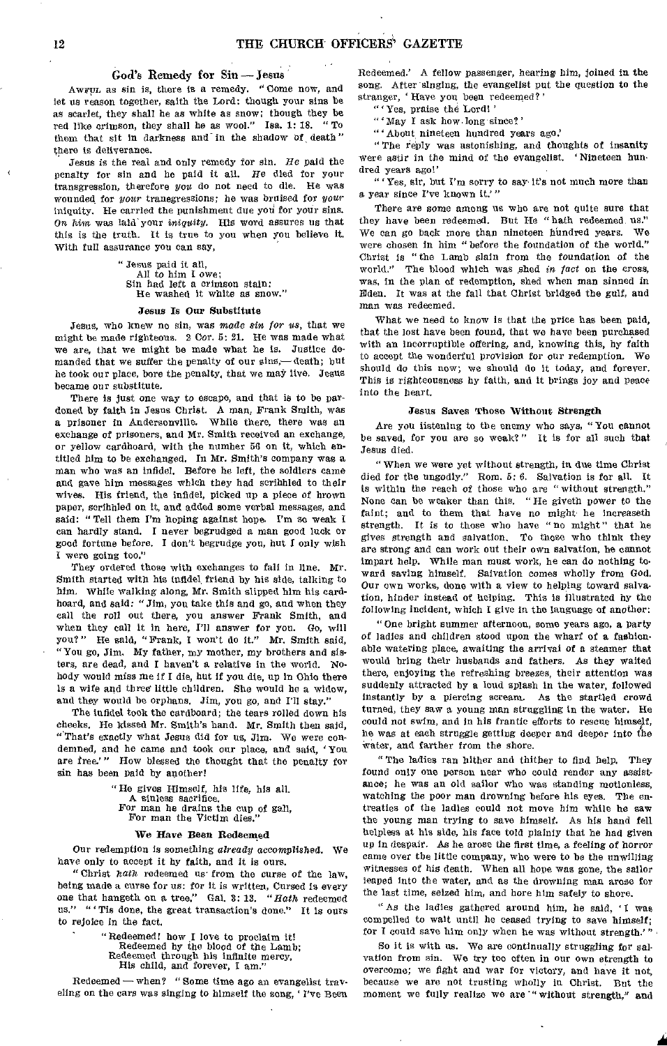# God's Remedy for Sin —Jesus

AWFUL as sin is, there is a remedy. "Come now, and let us reason together, saith the Lord: though your sins be as scarlet, they shall be as white as snow; though they be red like crimson, they shall be as wool." Isa. 1: 18. "To them that sit in darkness and in the shadow of death" there is deliverance.

Jesus is the real and only remedy for sin. *He* paid the penalty for sin and he paid it all. He died for your transgression, therefore *you* do not need to die. He was wounded for *your* transgressions; he was bruised for your iniquity. He carried the punishment due you for your sins. On *him* was laid' your *iniquity.* His word assures us that this is the truth. It is true to you when you believe it. With full assurance you can say,

> " Jesus paid it all, All to him I owe; Sin had left a crimson stain: He washed it white as snow."

## Jesus Is Our Substitute

Jesus, who knew no sin, was *made sin for us,* that we might be made righteous. 2 Cor. 5: 21, He was made what we are, that we might be made what he is. Justice demanded that we suffer the penalty of our sins,— death; but he took our place, bore the penalty, that we may live. Jesus became our substitute.

There is just one way to escape, and that is to be pardoned by faith in Jesus Christ. A man, Frank Smith, was a prisoner in Andersonville. While there, there was an exchange of prisoners, and Mr. Smith received an exchange, or yellow cardboard, with the number 56 on it, which entitled him to be exchanged. In Mr. Smith's company was a man who was an infidel. Before he left, the soldiers came and gave him messages which they had scribbled to their wives. His friend, the infidel, picked up a piece of brown paper, scribbled on it, and added some verbal messages, and said: "Tell them I'm hoping against hope. I'm so weak I can hardly stand. I never begrudged a man good luck or good fortune before. I don't begrudge you, but I only wish I were going too."

They ordered those with exchanges to fall in line. Mr. Smith started with his infidel friend by his side, talking to him, While walking along, Mr. Smith slipped him his cardboard, and said: "Jim, you take this and go, and when they call the roll out there, you answer Frank Smith, and when they call it in here, I'll answer for you. Go, will you?" He said, "Frank, I won't do it." Mr. Smith said, "You go, Jim. My father, my mother, my brothers and sisters, are dead, and I haven't a relative in the world. Nobody would miss me if I die, but if you die, up in Ohio there is a wife and three little children. She would be a widow, and they would be orphans. Jim, you go, and I'll stay."

The infidel took the cardboard; the tears rolled down his cheeks, He kissed Mr. Smith's hand. Mr. Smith then said, "That's exactly what Jesus did for us, Jim. We were condemned, and he came and took our place, and said, `You are free.'" How blessed the thought that the penalty for sin has been paid by another!

> "He gives Himself, his life, his all. A sinless sacrifice. For man he drains the cup of gall, For man the Victim dies."

# We Have Been Redeemed

Our redemption is something *already* accomplished. We have only to accept it by faith, and it is ours.

"Christ bath redeemed us' from the curse of the law, being made a curse for us: for it is written, Cursed is *every*  one that hangeth on a tree." Gal. 3: 13. *"Rath* redeemed us." " Tis done, the great transaction's done." It is ours to rejoice in the fact.

> "Redeemed! how I love to proclaim it! Redeemed by the blood of the Lamb; Redeemed through his infinite mercy, His child, and forever, I am."

Redeemed—when? "Some time ago an evangelist traveling on the cars was singing to himself the song, 'I've Been Redeemed.' A fellow passenger, hearing him, joined in the song. After singing, the evangelist put the question to the stranger, 'Have you been redeemed?'

" ' Yes, praise the Lord! '

"`May I ask how long since?

" ` About nineteen hundred years ago:

" The reply was astonishing, and thoughts of insanity were astir in the mind of the evangelist. ' Nineteen hundred years ago!'

" • Yes, sir, but I'm sorry to say it's not much more than a year since I've known it.'"

There are some among us who are not quite sure that they have been redeemed. But He "hath redeemed us." We can go back more than nineteen hundred years. We were chosen in him "before the foundation of the world." Christ is " the Lamb slain from the foundation of the world." The blood which was shed in *fact* on the cross, was, in the plan of redemption, shed when man sinned in Eden. It was at the fall that Christ bridged the gulf, and man was redeemed.

What we need to know is that the price has been paid, that the lost have been found, that we have been purchased with an incorruptible offering, and, knowing this, by faith to accept the wonderful provision for our redemption. We should do this now; we should do it today, and forever. This is righteousness by faith, and it brings joy and peace into the heart.

# Jesus Saves Those Without Strength

Are you listening to the enemy who says, "You cannot be saved, for you are so weak?" It is for all such that Jesus died.

" When we were yet without strength, in due time Christ died for the ungodly." Rom. 5: 6. Salvation is for all. It is within the reach of those who are "without strength." None can be weaker than this. "He giveth power to the faint; and to them that have no might he increaseth strength. It is to those who have "no might" that he gives strength and salvation. To those who think they are strong and can work out their own salvation, he cannot impart help. While man must work, he can do nothing toward saving himself. Salvation comes wholly from God. Our own works, done with a view to helping toward salvation, hinder instead of helping. This is illustrated by the following incident, which I give in the language of another:

"One bright summer afternoon, some years ago, a party of ladies and children stood upon the wharf of a fashionable watering place, awaiting the arrival of a steamer that would bring their husbands and fathers. As they waited there, enjoying the refreshing breezes, their attention was suddenly attracted by a loud splash in the water, followed instantly by a piercing scream, As the startled crowd turned, they saw a young man struggling in the water. He could not swim, and in his frantic efforts to rescue himself, he was at each struggle getting deeper and deeper into the water, and farther from the shore.

" The ladies ran hither and thither to find help. They found only one person near who could render any assistance; he was an old sailor who was standing motionless, watching the poor man drowning before his eyes. The entreaties of the ladies could not move him while he saw the young man trying to save himself. As his hand fell helpless at his side, his face told plainly that he had given up in despair. As he arose the first time, a feeling of horror came over the little company, who were to be the unwilling witnesses of his death. When all hope was gone, the sailor leaped into the water, and as the drowning man arose for the last time, seized him, and bore him safely to shore.

"As the ladies gathered around him, he said, `I was compelled to wait until he ceased trying to save himself; for I could save him only when he was without strength.'"

So it is with us. We are continually struggling for salvation from sin. We try too often in our own strength to overcome; we fight and war for victory, and have it not, because we are not trusting wholly in Christ. But the moment we fully realize we are "without strength," and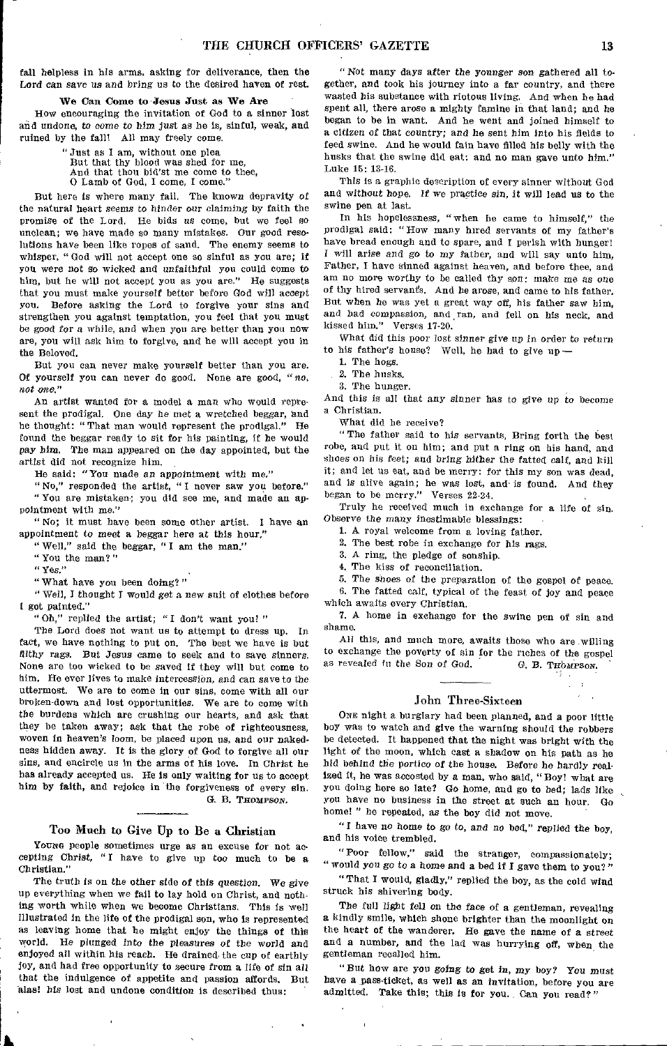fall helpless In his arms, asking for deliverance, then the Lord *can save us and bring* us to the desired haven of rest.

# We Can Como to Jesus Just as We Are

How encouraging the invitation of God to a sinner lost and undone, to come to *him* just as he is, sinful, weak, and ruined by the fall! All may freely come.

" Just as I am, without one plea

But that thy blood was shed for me,

And that thou bid'st me come to thee,

0 Lamb of God, I come, I come."

But here is where many fail. The known depravity of the natural heart seems to hinder our claiming by faith the promise of the Lord. He bids us come, but we feel so unclean; we have made so many mistakes. Our good resolutions have been like ropes of sand. The enemy seems to whisper, " God will not accept one so sinful as you are; if you were not so wicked and unfaithful you could come to him, but he will not accept you as you are." He suggests that you must make yourself better before God will *accept*  you. Before asking the Lord to forgive your sins and strengthen you against temptation, you feel that you must be good *for* a while, and when you are better than you now are, you will ask him to forgive, and he will accept you in the Beloved.

But you can never make yourself better than you are. Of yourself you can never do good. None are good, "no, *not one."* 

An artist wanted for a model a man who would represent the prodigal. One day he met a wretched beggar, and he thought: "That man would represent the prodigal." He found the beggar ready to sit for his painting, if he would pay him. The man appeared on the day appointed, hut the artist did not recognize him.

He said: "You made an *appointment with me,"* 

"No," responded the artist, "I never saw you before." "You are mistaken; you did see me, and made an appointment with me."

"No; it must have been some other artist. I have an appointment to meet a beggar here at this hour."

" Well," said the beggar, " I am the man."

"You the man?"

" Yes."

" What have you been doing?"

"Well, I thought I would get a new suit of clothes before got painted."

"Oh," replied the artist; "I don't want you! "

The Lord does not want us to attempt to dress up. In fact, we have nothing to put on. The best we have is but filthy *rags.* But Jesus came to seek and to save sinners. None are too wicked to be saved if they will but come to him. He ever lives to make intercession, *and can save* to the uttermost. We are to come in our sins, come with all our broken-down and lost opportunities. We are to come with the burdens which are crushing our hearts, and ask that they be taken away; ask that the robe of righteousness, woven in heaven's loom, be placed upon us, and our nakedness hidden away. It is the glory of God to forgive all our sins, and encircle us in the arms of his love. In Christ he has already accepted us. He is only waiting for us to accept him by faith, and rejoice in the forgiveness of every sin.

G. B. THOMPSON.

# Too Much to Give Up to Be a Christian

Young people sometimes urge as an excuse for not accepting Christ, " I have to give up too much to be a Christian."

The truth is on the other side of *this* question. We *give*  up everything when we fail to lay hold on Christ, and nothing worth while when we become Christians, This is well illustrated in the life of the prodigal son, who is represented as leaving home that he might enjoy the things of this world. He plunged into the *pleasures of* the world and enjoyed all within his reach. He drained the cup of earthly joy, and had free opportunity to secure from a life of sin all that the indulgence of appetite and passion affords. But alas! his lost and undone condition is described thus:

" Not many days *after* the younger son gathered all together, and took his journey into a far country, and there wasted his substance with riotous living. And when he had spent all, there arose a mighty famine in that land; and he began to be in want. And he went and joined himself to a citizen of that *country; and* he sent him into his fields to feed swine. And he would fain have filled his belly with the husks that the swine did eat: and no man gave unto him." Luke 15: 13-16.

This is a graphic description of every sinner without God and without hope. If we practice sin, it will lead us to the swine pen at last.

In his hopelessness, "when he came to himself," the prodigal said: "How many hired servants of my father's have bread enough and to spare, and I perish with hunger! I will *arise and go to* my father, and will say unto him, Father, I have sinned against heaven, and before thee, and am no more worthy to be called thy son: make me as one of thy hired servants. And he arose, and came to his father. But when he was yet a great way off, his father saw him, and had compassion, and ran, and fell on his neck, and kissed him." Verses 17-20.

What did this poor lost sinner *give* up *in* order to *return*  to his father's house? Well, he had to give up --

1. The hogs.

2. The husks,

3. The hunger.

And this is all that any sinner *has* to give up to become a Christian.

What did he receive?

"The father said to his servants, Bring forth the best robe, and put it on him; and put a ring on his hand, and shoes on his feet; and *bring* hither the fatted calf, and kill it; and let us eat, and be merry: for this my son was dead, and is alive again; he was lost, and-is found. And they began to be merry." Verses 22-24.

Truly he received much in exchange for a life of sin. Observe the many inestimable blessings:

I. A royal welcome from a loving father.

2. The best robe in exchange for his rags.

3. A ring, the pledge of sonship.

4. The kiss of reconciliation.

5. The shoes of the preparation of the gospel of peace. 6. The fatted calf, typical of the feast of joy and peace which awaits every Christian.

7. A home in exchange for the swine pen of sin and shame.

All this, and much more, awaits those who are -willing to exchange the poverty of sin for the riches of the gospel as revealed in the Son of God. **G. B. THOMPSON.** 

# John Three-Sixteen

ONE night a burglary had been planned, and a poor little boy was to watch and give the warning should the robbers be detected. It happened that the night was bright with the light of the moon, which cast a shadow on his path as he hid behind the portico *of* the house. Before he hardly realized it, he was accosted by a man, who said, " Boy! what are you doing here so late? Go home, and go to bed; lads like you have no business in the street at such an hour. Go home! " he repeated, as the boy did not move.

" I have no home to go to, and no bed," replied the boy, and his voice trembled.

"Poor fellow," said the stranger, compassionately; *"would you go* to a home and a bed if I gave them to you?"

" That I would, gladly," replied the boy, as the cold wind struck his shivering body.

The full light fell on the face of a gentleman, revealing a kindly smile, which shone brighter than the moonlight on the heart of the wanderer. He gave the name of a street and a number, and the lad was hurrying off, when the gentleman recalled him.

"But how are you *going* to get in, my boy? *You* must have a pass-ticket, as well as an invitation, before you are admitted. Take this; this is for you. Can you read?"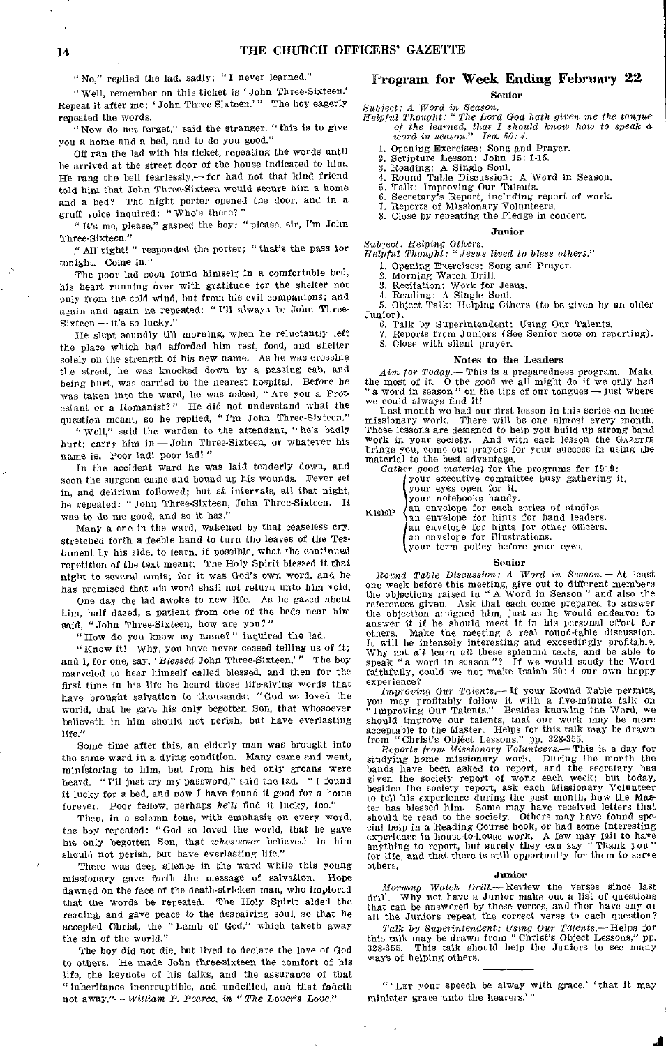" No," replied the lad, sadly; " I never learned."

" Well, remember on this ticket is 'John Three-Sixteen.' Repeat it after me: John Three-Sixteen.'" The boy eagerly repeated the words.

"Now do not forget," said the stranger, "this is to give you a home and a bed, and to do you good."

Off ran the lad with his ticket, repeating the words until he arrived at the street door of the house indicated to him. He rang the bell fearlessly, $-$  for had not that kind friend told him that John Three-Sixteen would secure him a home and a bed? The night porter opened the door, and in a gruff voice inquired: "Who's there?"

It's me, please," gasped the boy; " please, sir, I'm John Three-Sixteen."

"All right! " responded the porter; "that's the pass for tonight. Come in."

The poor lad soon found himself in a comfortable bed, his heart running over with gratitude for the shelter not only from the cold wind, but from his evil companions; and again and again he repeated: " I'll always be John Three-Sixteen — it's so lucky."

He slept soundly till morning, when he reluctantly left the place which had afforded him rest, food, and shelter solely on the strength of his new name. As he was crossing the street, he was knocked down by a passing cab, and being hurt, was carried to the nearest hospital. Before he was taken into the ward, he was asked, " Are you a Protestant or a Romanist?" He did not understand what the question meant, so he replied, "I'm John Three-Sixteen."

"Well," said the warden to the attendant, "he's badly hurt; carry him in—John Three-Sixteen, or whatever his name is. Poor lad! poor lad! "

In the accident ward he was laid tenderly down, and soon the surgeon came and bound up his wounds. Fever set in, and delirium followed; but at intervals, all that night, he repeated: " John Three-Sixteen, John Three-Sixteen. It was to do me good, and so it has."

Many a one in the ward, wakened by that ceaseless cry, stretched forth a feeble hand to turn the leaves of the Testament by his side, to learn, if possible, what the continued repetition of the text meant. The Holy Spirit blessed it that night to several souls; for it was God's own word, and he has promised that nis word shall not return unto him void.

One day the lad awoke to new life. As he gazed about him, half dazed, a patient from one of the beds near him said, " John Three-Sixteen, how are you?"

" How do you know my name?" inquired the lad.

"Know it! Why, you have never ceased telling us of it; and I, for one, say, 'Blessed John Three-Sixteen.'" The boy marveled to hear himself called blessed, and then for the first time in his life he heard those life-giving words that have brought salvation to thousands: "God so loved the world, that he gave his only begotten Son, that whosoever believeth in him should not perish, but have everlasting life."

Some time after this, an elderly man was brought into the same ward in a dying condition. Many came and went, ministering to him, but from his bed only groans were heard. " I'll just try my password," said the lad. " I found it lucky for a bed, and now I have found it good for a home forever. Poor fellow, perhaps *he'll* find it lucky, too."

Then, in a solemn tone, with emphasis on every word, the boy repeated: "God so loved the world, that he gave his only begotten Son, that *whosoever* believeth in him should not perish, but have everlasting life."

There was deep silence in the ward while this young missionary gave forth the message of salvation. Hope dawned on the face of the death-stricken man, who implored that the words be repeated. The Holy Spirit aided the reading, and gave peace to the despairing soul, so that he accepted Christ, the "Lamb of God," which taketh away the sin of the world."

The boy did not die, but lived to declare the love of God to others. He made John three-sixteen the comfort of his life, the keynote of his talks, and the assurance of that " inheritance incorruptible, and undefiled, and that fadeth not away."— *William P. Pearce, in "The Lover's* Love."

# Program for Week Ending February **22**  Senior

*Subject: A Word in Season. Helpful Thought: "The Lord God hath given me the tongue of the learned, that I should know how to speak* a *word in season." Isa. 50: 4.* 

- 1. Opening Exercises: Song and Prayer. 2. Scripture Lesson: John 15: 1-15.
- 
- 3. Reading: A Single Soul.
- 4. Round Table Discussion: A Word in Season.
- 5. Talk: Improving Our Talents.
- 6. Secretary's Report, including report of work. 7. Reports of Missionary Volunteers.
- 
- 8. Close by repeating the Pledge in concert.

# Junior

*Subject:* Helping Others. *Helpful Thought: "Jesus lived to bless others."* 

1. Opening Exercises: Song and Prayer.

Morning Watch Drill.

3. Recitation: Work for Jesus. 4. Reading: A Single Soul. 5. Object Talk: Helping Others (to be given by an older

Junior).

6. Talk by Superintendent: Using Our Talents. 7. Reports from Juniors (See Senior note on reporting).

8. Close with silent prayer.

# Notes to the Leaders

Aim for Today.— This is a preparedness program. Make the most of it. O the good we all might do if we only had "a word in season" on the tips of our tongues — just where we could always find it!

Last month we had our first lesson in this series on home<br>missionary work. There will be one almost every month.<br>These lessons are designed to help you build up strong band<br>work in your society. And with each lesson the GA brings you, come our prayers for your success in using the material to the best advantage.

Gather good material for the programs for 1919:<br>
Your executive committee busy gathering it.

your eyes open for it.

your notebooks handy.

an envelope for each series of studies.<br>
an envelope for hints for band leaders.<br>
an envelope for hints for other officers. KEEP

- 
- an envelope for illustrations.
- your term policy before your eyes.

#### Senior

*Round Table Discussion: A Word in Season.—At* least one week before this meeting, give out to different members the objections raised in " A Word in Season" and also the references given. Ask that each come prepared to answer the objection assigned him, just as he would endeavor to answer it if he should meet it in his personal effort for others. Make the meeting a real round-table discussion. It will be intensely interesting and exceedingly profitable. Why not *all* learn all these splendid texts, and be able to speak "a word in season "? If we would study the Word faithfully, could we not make Isaiah 50: 4 our own happy experience?

*Improving* Our Talents.— If your Round Table permits, you may profitably follow it with a five-minute talk on " Improving Our Talents." Besides knowing the Word, we should improve our talents, that our work may be more acceptable to the Master. Helps for this talk may be drawn from "Christ's Object Lessons," pp. 328-355.

*Reports from Missionary Volunteers.—* This is a day for studying home missionary work. During the month the bands have been asked to report, and the secretary has given the society report of work each week; but today, besides the society report, ask each Missionary Volunteer to tell his experience during the past month, how the Mas-ter has blessed him. Some may have received letters that should be read to the society. Others may have found special help in a Reading Course book, or had some interesting experience in house-to-house work. A few may fail to have anything to report, but surely they can say "Tha for life, and that there is still opportunity for them to serve others.

# Junior

*Morning Watch Drill.—* Review the verses since last drill, Why not have a Junior make out a list of questions drill. Why not have a Junior make out a list of questions that can be answered by these verses, and then have any or all the Juniors repeat the correct verse to each question?

Talk by Superintendent: Using Our Talents.—Helps for<br>this talk may be drawn from "Christ's Object Lessons," pp.<br>328-355. This talk should help the Juniors to see many way's of helping others.

"'LET your speech be alway with grace,' `that it may minister grace unto the hearers.'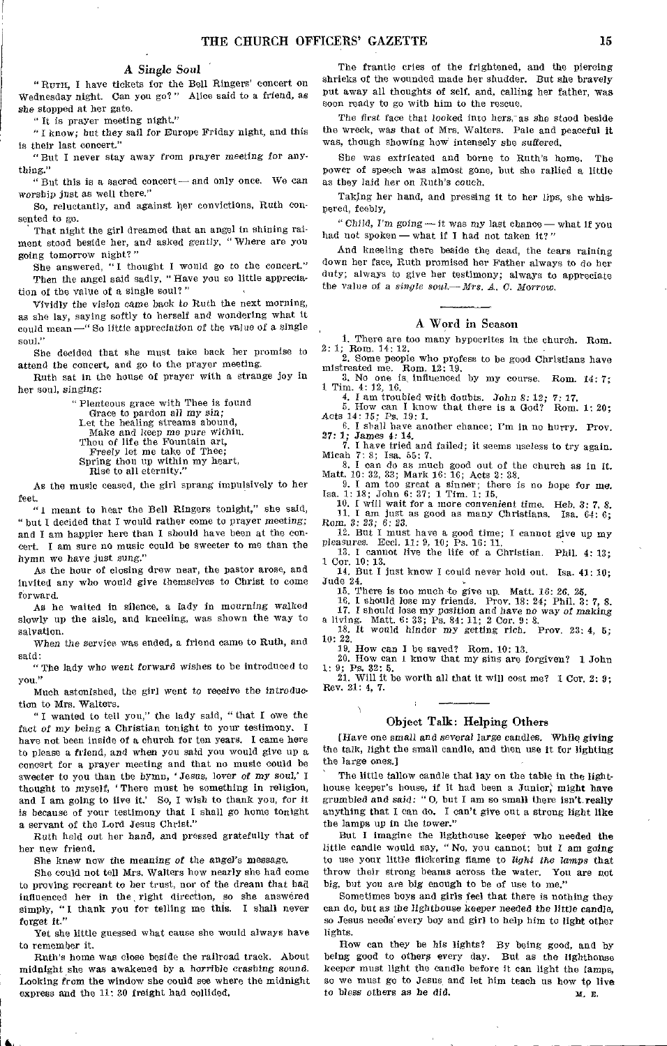# A *Single* Soul

"Rum, I have tickets for the Bell Ringers' concert on Wednesday night. Can you go?" Alice said to a friend, as she stopped at her gate.

"It is prayer meeting night."

" I know; but they *sail* for Europe Friday night, and this is their last concert."

"But I never stay away from prayer meeting for anything."

"But this is a sacred concert-and only once. We can worship just as well there."

So, reluctantly, and against her convictions, Ruth consented to go.

That night the girl dreamed that an angel in shining raiment stood beside her, and asked gently, " Where are you going tomorrow night?"

She answered, "I thought I would go to the concert." Then the angel said sadly, " Have you so little appreciation of the value of a single soul?"

Vividly the vision came back to Ruth the next morning, as she lay, saying softly to herself and wondering what it could mean -"So little appreciation of the value of a single soul."

She decided that she must take back her promise to attend the concert, and go to the prayer meeting,

Ruth sat in the house of prayer with a strange joy in her soul, singing:

> "Plenteous grace with Thee is found Grace to pardon all *my* sin; Let the healing streams abound, Make and keep me pure within. Thou of life the Fountain art, Freely let me take of Thee; Spring thou up within my heart, Rise to all eternity."

As the music ceased, the girl sprang impulsively to her feet.

"1 meant to hear the Bell Ringers tonight," she said, " but I decided that I would rather come to prayer meeting; and I am happier here than I should have been at the concert. I am sure no music could be sweeter to me than the hymn we have just sung."

As the hour of closing drew near, the pastor arose, and invited any who would give themselves to Christ to come forward.

As he waited in silence, a lady in mourning walked slowly up the aisle, and kneeling, was shown the way to salvation.

*When* the service was ended, a friend came to Ruth, and said:

"The lady who went forward wishes to be introduced to you."

Much astonished, the girl went to receive the introduction to Mrs. Walters.

" I wanted to tell you," the lady said, " that I owe the fact *of* my being a Christian tonight to your testimony. I have not been inside of a church for ten years. I came here to please a friend, and when you said you would give up a concert for a prayer meeting and that no music could be sweeter to you than the hymn, ' Jesus, lover *of my* soul,' I thought to myself, ' There must be something in religion, and I am going to live it.' So, I wish to thank you, for it is because of your testimony that I shall go home tonight a servant of the Lord Jesus Christ."

Ruth held out her hand, and pressed gratefully that of her new friend.

She knew now the meaning *of* the *angel's* message.

She could not tell *Mrs.* Walters how nearly she had come to proving recreant to her trust, nor of the dream that had influenced her in the right direction, so she answered simply, "I thank you for telling me this. I shall never forget it."

Yet she little guessed what cause she would always have to remember it.

Ruth's home was close beside the railroad track. About midnight she was awakened by a horrible *crashing* sound. Looking from the window she could see where the midnight express and the 11: 30 freight had collided.

S.

The frantic cries of the frightened, and the piercing shrieks of the wounded made her shudder. But she bravely put away all thoughts of self, and, calling her father, was soon ready to go with him to the rescue.

The first face that looked into hers, as she stood beside the wreck, was that of Mrs. Walters. Pale and peaceful it was, though showing how intensely she suffered,

She was extricated and borne to Ruth's home. The power of speech was almost gone, but she rallied a little as they laid her on Ruth's couch.

Taking her hand, and pressing it to her lips, she whispered, feebly,

"Child, I'm going - it was my last chance - what if you had not spoken-what if I had not taken it?"

And kneeling there beside the dead, the tears raining down her face, Ruth promised her Father always to do her duty; always to give her testimony; always to appreciate the value of a *single soul.-Mrs. A. C. Morrow.* 

# A Word in Season

1. There are too many hypocrites in the church. Rom. 2: 1; Rom. 14: 12.

2, Some people who profess to be good Christians have mistreated me. Rom. 12: 19,<br>
3. No one is, influenced by my course. Rom. 14: 7;<br>
1 Tim. 4: 12, 16.

4. I am troubled with doubts. John 8: 12; 7; 17.

5. How can I know that there is a God? Rom. 1: 20; Acts 14: 15; Ps. 19: 1.

6. I shall have another chance; I'm in no hurry. Prov. 27: 1; James 4: 14.

7. I have tried and failed; it seems useless to try again. Micah 7: 8; Isa. 55: 7.

8. I can do as much good out of the church as in it. Matt, 10: 32, 33; Mark 16: 16; Acts 2: 38. 9. I am too great a sinner; there is no hope for me. Isa. 1: 18; John 6: 37; 1 Tim. 1: 15,

10. I will wait for a more convenient time. Heb. 3: 7, *8.*  11. I am just as good as many Christians. Isa. 64: 6; Rom. 3: 23; *6:* 23.

12. But I must have a good time; I cannot give up my pleasures. Reel. 11: 9, 10; Ps. 16: 11. 13. I cannot live the life of a Christian. Phil. 4: 13;

1 Cor. 10: 13.

14. But I just know I could never hold out, Isa. 41: 10; Jude 24.

15. There is too much to give up. Matt. 16: 26. 25,

16. I should lose my friends. Prov. 18: 24; Phil. 3: 7, S. 17. I should lose my position and *have no way of making* 

a living. Matt. 6: 33; Ps. 84: 11; 2 Cor. 9: 8. 18. It would hinder *my* getting rich. Prov. 23: 4, 5; 10: 22.

19. How can I be saved? Rom. 10: 13.

20. How can 1 know that my sins are forgiven? 1 John

1: 9; Ps. 32: 5.<br>21. Will it b 21. Will it be worth all that it will cost me? 1 Cor. 2: *9;*  Rev. 21: 4, 7.

# Object Talk: Helping Others

[Have one small and several *large* candles. While giving the talk, light the small candle, and then use it for lighting the large ones.]

The little tallow candle that lay on the table in the lighthouse keeper's house, if it had been a Junior; might have grumbled and said: " $0$ , but I am so small there isn't really anything that I can do. I can't give out a strong light like the lamps up in the tower."

But I imagine the lighthouse keeper who needed the little candle would say, " No, you cannot; but I am going to use your little flickering flame to *light the* lamps that throw their strong beams across the water. Yon are not big, but you are big enough to be of use to me."

Sometimes boys and girls feel that there is nothing they can do, but as the lighthouse keeper needed the little candle, so Jesus needs' every boy and girl to help him to light other lights.

How can they be his lights? By being good, and by being good to others every day. But as the lighthouse keeper must light the candle before it can light the tamps, so we must go to Jesus and let him teach us how to live to bless others as be did. м. в.